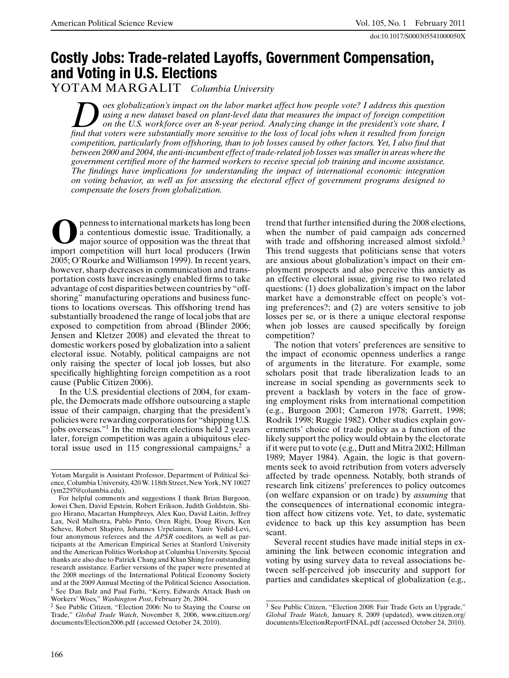doi:10.1017/S000305541000050X

## **Costly Jobs: Trade-related Layoffs, Government Compensation, and Voting in U.S. Elections**

YOTAM MARGALIT *Columbia University*

*Does globalization's impact on the labor market affect how people vote? I address this question using a new dataset based on plant-level data that measures the impact of foreign competition on the U.S. workforce over an 8-year period. Analyzing change in the president's vote share, I find that voters were substantially more sensitive to the loss of local jobs when it resulted from foreign competition, particularly from offshoring, than to job losses caused by other factors. Yet, I also find that between 2000 and 2004, the anti-incumbent effect of trade-related job losses was smaller in areas where the government certified more of the harmed workers to receive special job training and income assistance. The findings have implications for understanding the impact of international economic integration on voting behavior, as well as for assessing the electoral effect of government programs designed to compensate the losers from globalization.*

**O**penness to international markets has long been a contentious domestic issue. Traditionally, a major source of opposition was the threat that import competition will hurt local producers (Irwin 2005; O'Rourke and Williamson 1999). In recent years, however, sharp decreases in communication and transportation costs have increasingly enabled firms to take advantage of cost disparities between countries by "offshoring" manufacturing operations and business functions to locations overseas. This offshoring trend has substantially broadened the range of local jobs that are exposed to competition from abroad (Blinder 2006; Jensen and Kletzer 2008) and elevated the threat to domestic workers posed by globalization into a salient electoral issue. Notably, political campaigns are not only raising the specter of local job losses, but also specifically highlighting foreign competition as a root cause (Public Citizen 2006).

In the U.S. presidential elections of 2004, for example, the Democrats made offshore outsourcing a staple issue of their campaign, charging that the president's policies were rewarding corporations for "shipping U.S. jobs overseas."1 In the midterm elections held 2 years later, foreign competition was again a ubiquitous electoral issue used in 115 congressional campaigns,<sup>2</sup> a trend that further intensified during the 2008 elections, when the number of paid campaign ads concerned with trade and offshoring increased almost sixfold.<sup>3</sup> This trend suggests that politicians sense that voters are anxious about globalization's impact on their employment prospects and also perceive this anxiety as an effective electoral issue, giving rise to two related questions: (1) does globalization's impact on the labor market have a demonstrable effect on people's voting preferences?; and (2) are voters sensitive to job losses per se, or is there a unique electoral response when job losses are caused specifically by foreign competition?

The notion that voters' preferences are sensitive to the impact of economic openness underlies a range of arguments in the literature. For example, some scholars posit that trade liberalization leads to an increase in social spending as governments seek to prevent a backlash by voters in the face of growing employment risks from international competition (e.g., Burgoon 2001; Cameron 1978; Garrett, 1998; Rodrik 1998; Ruggie 1982). Other studies explain governments' choice of trade policy as a function of the likely support the policy would obtain by the electorate if it were put to vote (e.g., Dutt and Mitra 2002; Hillman 1989; Mayer 1984). Again, the logic is that governments seek to avoid retribution from voters adversely affected by trade openness. Notably, both strands of research link citizens' preferences to policy outcomes (on welfare expansion or on trade) by *assuming* that the consequences of international economic integration affect how citizens vote. Yet, to date, systematic evidence to back up this key assumption has been scant.

Several recent studies have made initial steps in examining the link between economic integration and voting by using survey data to reveal associations between self-perceived job insecurity and support for parties and candidates skeptical of globalization (e.g.,

Yotam Margalit is Assistant Professor, Department of Political Science, Columbia University, 420 W. 118th Street, New York, NY 10027 (ym2297@columbia.edu).

For helpful comments and suggestions I thank Brian Burgoon, Jowei Chen, David Epstein, Robert Erikson, Judith Goldstein, Shigeo Hirano, Macartan Humphreys, Alex Kuo, David Laitin, Jeffrey Lax, Neil Malhotra, Pablo Pinto, Oren Rigbi, Doug Rivers, Ken Scheve, Robert Shapiro, Johannes Urpelainen, Yaniv Yedid-Levi, four anonymous referees and the *APSR* coeditors, as well as participants at the American Empirical Series at Stanford University and the American Politics Workshop at Columbia University. Special thanks are also due to Patrick Chang and Khan Shing for outstanding research assistance. Earlier versions of the paper were presented at the 2008 meetings of the International Political Economy Society and at the 2009 Annual Meeting of the Political Science Association. <sup>1</sup> See Dan Balz and Paul Farhi, "Kerry, Edwards Attack Bush on Workers' Woes," *Washington Post*, February 26, 2004.

<sup>2</sup> See Public Citizen, "Election 2006: No to Staying the Course on Trade," *Global Trade Watch*, November 8, 2006, www.citizen.org/ documents/Election2006.pdf (accessed October 24, 2010).

<sup>3</sup> See Public Citizen, "Election 2008: Fair Trade Gets an Upgrade," *Global Trade Watch*, January 8, 2009 (updated), www.citizen.org/ documents/ElectionReportFINAL.pdf (accessed October 24, 2010).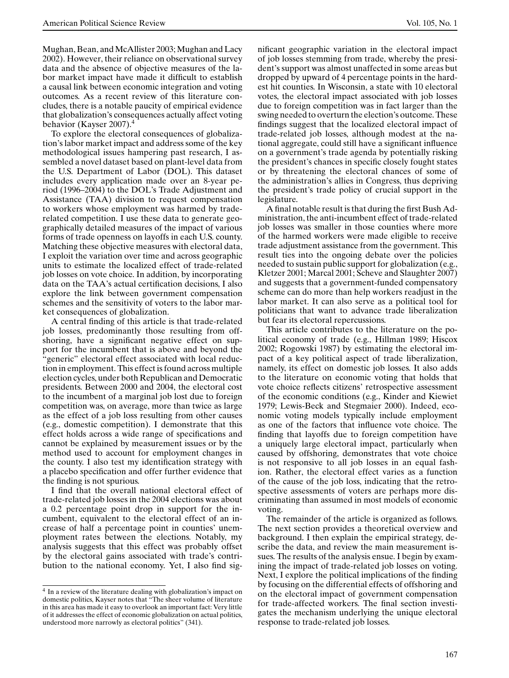Mughan, Bean, and McAllister 2003; Mughan and Lacy 2002). However, their reliance on observational survey data and the absence of objective measures of the labor market impact have made it difficult to establish a causal link between economic integration and voting outcomes. As a recent review of this literature concludes, there is a notable paucity of empirical evidence that globalization's consequences actually affect voting behavior (Kayser 2007).4

To explore the electoral consequences of globalization's labor market impact and address some of the key methodological issues hampering past research, I assembled a novel dataset based on plant-level data from the U.S. Department of Labor (DOL). This dataset includes every application made over an 8-year period (1996–2004) to the DOL's Trade Adjustment and Assistance (TAA) division to request compensation to workers whose employment was harmed by traderelated competition. I use these data to generate geographically detailed measures of the impact of various forms of trade openness on layoffs in each U.S. county. Matching these objective measures with electoral data, I exploit the variation over time and across geographic units to estimate the localized effect of trade-related job losses on vote choice. In addition, by incorporating data on the TAA's actual certification decisions, I also explore the link between government compensation schemes and the sensitivity of voters to the labor market consequences of globalization.

A central finding of this article is that trade-related job losses, predominantly those resulting from offshoring, have a significant negative effect on support for the incumbent that is above and beyond the "generic" electoral effect associated with local reduction in employment. This effect is found across multiple election cycles, under both Republican and Democratic presidents. Between 2000 and 2004, the electoral cost to the incumbent of a marginal job lost due to foreign competition was, on average, more than twice as large as the effect of a job loss resulting from other causes (e.g., domestic competition). I demonstrate that this effect holds across a wide range of specifications and cannot be explained by measurement issues or by the method used to account for employment changes in the county. I also test my identification strategy with a placebo specification and offer further evidence that the finding is not spurious.

I find that the overall national electoral effect of trade-related job losses in the 2004 elections was about a 0.2 percentage point drop in support for the incumbent, equivalent to the electoral effect of an increase of half a percentage point in counties' unemployment rates between the elections. Notably, my analysis suggests that this effect was probably offset by the electoral gains associated with trade's contribution to the national economy. Yet, I also find significant geographic variation in the electoral impact of job losses stemming from trade, whereby the president's support was almost unaffected in some areas but dropped by upward of 4 percentage points in the hardest hit counties. In Wisconsin, a state with 10 electoral votes, the electoral impact associated with job losses due to foreign competition was in fact larger than the swing needed to overturn the election's outcome. These findings suggest that the localized electoral impact of trade-related job losses, although modest at the national aggregate, could still have a significant influence on a government's trade agenda by potentially risking the president's chances in specific closely fought states or by threatening the electoral chances of some of the administration's allies in Congress, thus depriving the president's trade policy of crucial support in the legislature.

A final notable result is that during the first Bush Administration, the anti-incumbent effect of trade-related job losses was smaller in those counties where more of the harmed workers were made eligible to receive trade adjustment assistance from the government. This result ties into the ongoing debate over the policies needed to sustain public support for globalization (e.g., Kletzer 2001; Marcal 2001; Scheve and Slaughter 2007) and suggests that a government-funded compensatory scheme can do more than help workers readjust in the labor market. It can also serve as a political tool for politicians that want to advance trade liberalization but fear its electoral repercussions.

This article contributes to the literature on the political economy of trade (e.g., Hillman 1989; Hiscox 2002; Rogowski 1987) by estimating the electoral impact of a key political aspect of trade liberalization, namely, its effect on domestic job losses. It also adds to the literature on economic voting that holds that vote choice reflects citizens' retrospective assessment of the economic conditions (e.g., Kinder and Kiewiet 1979; Lewis-Beck and Stegmaier 2000). Indeed, economic voting models typically include employment as one of the factors that influence vote choice. The finding that layoffs due to foreign competition have a uniquely large electoral impact, particularly when caused by offshoring, demonstrates that vote choice is not responsive to all job losses in an equal fashion. Rather, the electoral effect varies as a function of the cause of the job loss, indicating that the retrospective assessments of voters are perhaps more discriminating than assumed in most models of economic voting.

The remainder of the article is organized as follows. The next section provides a theoretical overview and background. I then explain the empirical strategy, describe the data, and review the main measurement issues. The results of the analysis ensue. I begin by examining the impact of trade-related job losses on voting. Next, I explore the political implications of the finding by focusing on the differential effects of offshoring and on the electoral impact of government compensation for trade-affected workers. The final section investigates the mechanism underlying the unique electoral response to trade-related job losses.

<sup>&</sup>lt;sup>4</sup> In a review of the literature dealing with globalization's impact on domestic politics, Kayser notes that "The sheer volume of literature in this area has made it easy to overlook an important fact: Very little of it addresses the effect of economic globalization on actual politics, understood more narrowly as electoral politics" (341).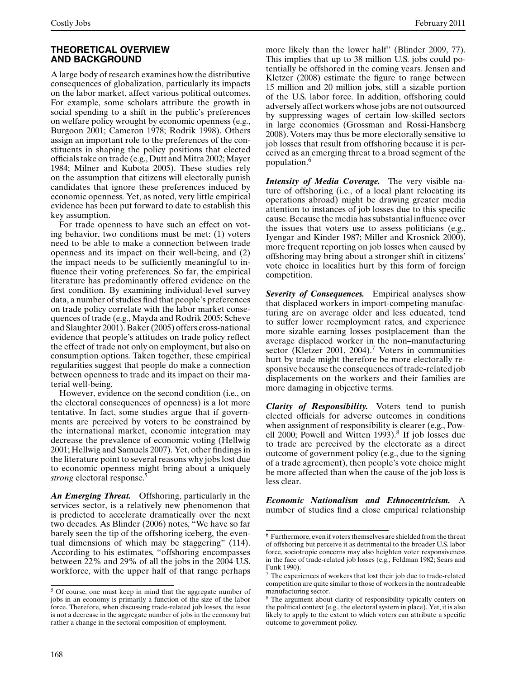#### **THEORETICAL OVERVIEW AND BACKGROUND**

A large body of research examines how the distributive consequences of globalization, particularly its impacts on the labor market, affect various political outcomes. For example, some scholars attribute the growth in social spending to a shift in the public's preferences on welfare policy wrought by economic openness (e.g., Burgoon 2001; Cameron 1978; Rodrik 1998). Others assign an important role to the preferences of the constituents in shaping the policy positions that elected officials take on trade (e.g., Dutt and Mitra 2002; Mayer 1984; Milner and Kubota 2005). These studies rely on the assumption that citizens will electorally punish candidates that ignore these preferences induced by economic openness. Yet, as noted, very little empirical evidence has been put forward to date to establish this key assumption.

For trade openness to have such an effect on voting behavior, two conditions must be met: (1) voters need to be able to make a connection between trade openness and its impact on their well-being, and (2) the impact needs to be sufficiently meaningful to influence their voting preferences. So far, the empirical literature has predominantly offered evidence on the first condition. By examining individual-level survey data, a number of studies find that people's preferences on trade policy correlate with the labor market consequences of trade (e.g., Mayda and Rodrik 2005; Scheve and Slaughter 2001). Baker (2005) offers cross-national evidence that people's attitudes on trade policy reflect the effect of trade not only on employment, but also on consumption options. Taken together, these empirical regularities suggest that people do make a connection between openness to trade and its impact on their material well-being.

However, evidence on the second condition (i.e., on the electoral consequences of openness) is a lot more tentative. In fact, some studies argue that if governments are perceived by voters to be constrained by the international market, economic integration may decrease the prevalence of economic voting (Hellwig 2001; Hellwig and Samuels 2007). Yet, other findings in the literature point to several reasons why jobs lost due to economic openness might bring about a uniquely *strong* electoral response.<sup>5</sup>

*An Emerging Threat.* Offshoring, particularly in the services sector, is a relatively new phenomenon that is predicted to accelerate dramatically over the next two decades. As Blinder (2006) notes, "We have so far barely seen the tip of the offshoring iceberg, the eventual dimensions of which may be staggering" (114). According to his estimates, "offshoring encompasses between 22% and 29% of all the jobs in the 2004 U.S. workforce, with the upper half of that range perhaps

more likely than the lower half" (Blinder 2009, 77). This implies that up to 38 million U.S. jobs could potentially be offshored in the coming years. Jensen and Kletzer (2008) estimate the figure to range between 15 million and 20 million jobs, still a sizable portion of the U.S. labor force. In addition, offshoring could adversely affect workers whose jobs are not outsourced by suppressing wages of certain low-skilled sectors in large economies (Grossman and Rossi-Hansberg 2008). Voters may thus be more electorally sensitive to job losses that result from offshoring because it is perceived as an emerging threat to a broad segment of the population.<sup>6</sup>

*Intensity of Media Coverage.* The very visible nature of offshoring (i.e., of a local plant relocating its operations abroad) might be drawing greater media attention to instances of job losses due to this specific cause. Because the media has substantial influence over the issues that voters use to assess politicians (e.g., Iyengar and Kinder 1987; Miller and Krosnick 2000), more frequent reporting on job losses when caused by offshoring may bring about a stronger shift in citizens' vote choice in localities hurt by this form of foreign competition.

*Severity of Consequences.* Empirical analyses show that displaced workers in import-competing manufacturing are on average older and less educated, tend to suffer lower reemployment rates, and experience more sizable earning losses postplacement than the average displaced worker in the non–manufacturing sector (Kletzer 2001, 2004).<sup>7</sup> Voters in communities hurt by trade might therefore be more electorally responsive because the consequences of trade-related job displacements on the workers and their families are more damaging in objective terms.

*Clarity of Responsibility.* Voters tend to punish elected officials for adverse outcomes in conditions when assignment of responsibility is clearer (e.g., Powell 2000; Powell and Witten 1993).<sup>8</sup> If job losses due to trade are perceived by the electorate as a direct outcome of government policy (e.g., due to the signing of a trade agreement), then people's vote choice might be more affected than when the cause of the job loss is less clear.

*Economic Nationalism and Ethnocentricism.* A number of studies find a close empirical relationship

<sup>5</sup> Of course, one must keep in mind that the aggregate number of jobs in an economy is primarily a function of the size of the labor force. Therefore, when discussing trade-related job losses, the issue is not a decrease in the aggregate number of jobs in the economy but rather a change in the sectoral composition of employment.

<sup>6</sup> Furthermore, even if voters themselves are shielded from the threat of offshoring but perceive it as detrimental to the broader U.S. labor force, sociotropic concerns may also heighten voter responsiveness in the face of trade-related job losses (e.g., Feldman 1982; Sears and Funk 1990).

 $<sup>7</sup>$  The experiences of workers that lost their job due to trade-related</sup> competition are quite similar to those of workers in the nontradeable manufacturing sector.

<sup>8</sup> The argument about clarity of responsibility typically centers on the political context (e.g., the electoral system in place). Yet, it is also likely to apply to the extent to which voters can attribute a specific outcome to government policy.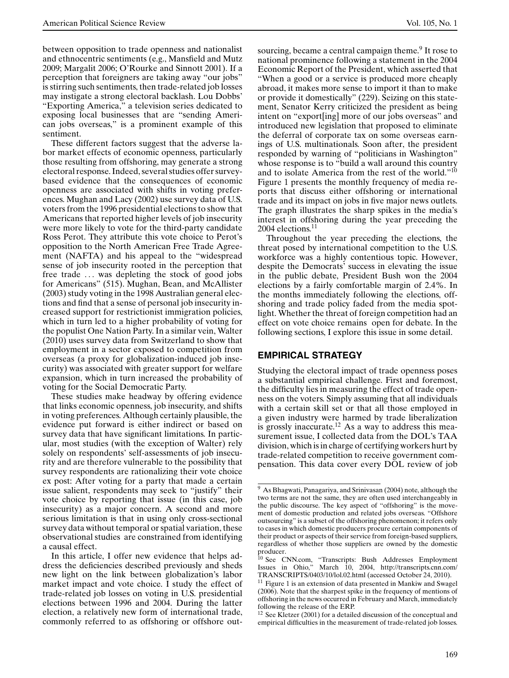between opposition to trade openness and nationalist and ethnocentric sentiments (e.g., Mansfield and Mutz 2009; Margalit 2006; O'Rourke and Sinnott 2001). If a perception that foreigners are taking away "our jobs" is stirring such sentiments, then trade-related job losses may instigate a strong electoral backlash. Lou Dobbs' "Exporting America," a television series dedicated to exposing local businesses that are "sending American jobs overseas," is a prominent example of this sentiment.

These different factors suggest that the adverse labor market effects of economic openness, particularly those resulting from offshoring, may generate a strong electoral response. Indeed, several studies offer surveybased evidence that the consequences of economic openness are associated with shifts in voting preferences. Mughan and Lacy (2002) use survey data of U.S. voters from the 1996 presidential elections to show that Americans that reported higher levels of job insecurity were more likely to vote for the third-party candidate Ross Perot. They attribute this vote choice to Perot's opposition to the North American Free Trade Agreement (NAFTA) and his appeal to the "widespread sense of job insecurity rooted in the perception that free trade *...* was depleting the stock of good jobs for Americans" (515). Mughan, Bean, and McAllister (2003) study voting in the 1998 Australian general elections and find that a sense of personal job insecurity increased support for restrictionist immigration policies, which in turn led to a higher probability of voting for the populist One Nation Party. In a similar vein, Walter (2010) uses survey data from Switzerland to show that employment in a sector exposed to competition from overseas (a proxy for globalization-induced job insecurity) was associated with greater support for welfare expansion, which in turn increased the probability of voting for the Social Democratic Party.

These studies make headway by offering evidence that links economic openness, job insecurity, and shifts in voting preferences. Although certainly plausible, the evidence put forward is either indirect or based on survey data that have significant limitations. In particular, most studies (with the exception of Walter) rely solely on respondents' self-assessments of job insecurity and are therefore vulnerable to the possibility that survey respondents are rationalizing their vote choice ex post: After voting for a party that made a certain issue salient, respondents may seek to "justify" their vote choice by reporting that issue (in this case, job insecurity) as a major concern. A second and more serious limitation is that in using only cross-sectional survey data without temporal or spatial variation, these observational studies are constrained from identifying a causal effect.

In this article, I offer new evidence that helps address the deficiencies described previously and sheds new light on the link between globalization's labor market impact and vote choice. I study the effect of trade-related job losses on voting in U.S. presidential elections between 1996 and 2004. During the latter election, a relatively new form of international trade, commonly referred to as offshoring or offshore outsourcing, became a central campaign theme.<sup>9</sup> It rose to national prominence following a statement in the 2004 Economic Report of the President, which asserted that "When a good or a service is produced more cheaply abroad, it makes more sense to import it than to make or provide it domestically" (229). Seizing on this statement, Senator Kerry criticized the president as being intent on "export[ing] more of our jobs overseas" and introduced new legislation that proposed to eliminate the deferral of corporate tax on some overseas earnings of U.S. multinationals. Soon after, the president responded by warning of "politicians in Washington" whose response is to "build a wall around this country and to isolate America from the rest of the world."<sup>10</sup> Figure 1 presents the monthly frequency of media reports that discuss either offshoring or international trade and its impact on jobs in five major news outlets. The graph illustrates the sharp spikes in the media's interest in offshoring during the year preceding the 2004 elections.<sup>11</sup>

Throughout the year preceding the elections, the threat posed by international competition to the U.S. workforce was a highly contentious topic. However, despite the Democrats' success in elevating the issue in the public debate, President Bush won the 2004 elections by a fairly comfortable margin of 2.4%. In the months immediately following the elections, offshoring and trade policy faded from the media spotlight. Whether the threat of foreign competition had an effect on vote choice remains open for debate. In the following sections, I explore this issue in some detail.

#### **EMPIRICAL STRATEGY**

Studying the electoral impact of trade openness poses a substantial empirical challenge. First and foremost, the difficulty lies in measuring the effect of trade openness on the voters. Simply assuming that all individuals with a certain skill set or that all those employed in a given industry were harmed by trade liberalization is grossly inaccurate.<sup>12</sup> As a way to address this measurement issue, I collected data from the DOL's TAA division, which is in charge of certifying workers hurt by trade-related competition to receive government compensation. This data cover every DOL review of job

 $9$  As Bhagwati, Panagariya, and Srinivasan (2004) note, although the two terms are not the same, they are often used interchangeably in the public discourse. The key aspect of "offshoring" is the movement of domestic production and related jobs overseas. "Offshore outsourcing" is a subset of the offshoring phenomenon; it refers only to cases in which domestic producers procure certain components of their product or aspects of their service from foreign-based suppliers, regardless of whether those suppliers are owned by the domestic producer.

<sup>&</sup>lt;sup>10</sup> See CNN.com, "Transcripts: Bush Addresses Employment Issues in Ohio," March 10, 2004, http://transcripts.cnn.com/ TRANSCRIPTS/0403/10/lol.02.html (accessed October 24, 2010).

<sup>&</sup>lt;sup>11</sup> Figure 1 is an extension of data presented in Mankiw and Swagel (2006). Note that the sharpest spike in the frequency of mentions of offshoring in the news occurred in February and March, immediately following the release of the ERP.

<sup>&</sup>lt;sup>12</sup> See Kletzer (2001) for a detailed discussion of the conceptual and empirical difficulties in the measurement of trade-related job losses.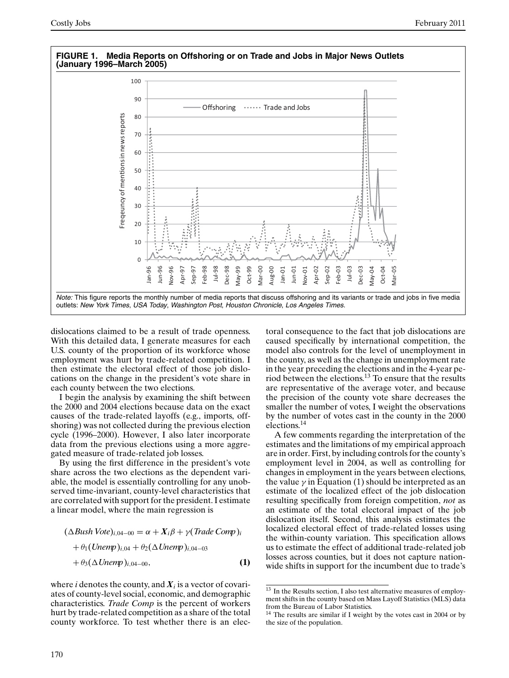

dislocations claimed to be a result of trade openness. With this detailed data, I generate measures for each U.S. county of the proportion of its workforce whose employment was hurt by trade-related competition. I then estimate the electoral effect of those job dislocations on the change in the president's vote share in each county between the two elections.

I begin the analysis by examining the shift between the 2000 and 2004 elections because data on the exact causes of the trade-related layoffs (e.g., imports, offshoring) was not collected during the previous election cycle (1996–2000). However, I also later incorporate data from the previous elections using a more aggregated measure of trade-related job losses.

By using the first difference in the president's vote share across the two elections as the dependent variable, the model is essentially controlling for any unobserved time-invariant, county-level characteristics that are correlated with support for the president. I estimate a linear model, where the main regression is

$$
(\Delta Bush \text{ Vote})_{i,04-00} = \alpha + X_i \beta + \gamma (\text{Trade Comp})_i
$$

$$
+ \theta_1 (\text{Unemp})_{i,04} + \theta_2 (\Delta \text{Unemp})_{i,04-03}
$$

$$
+ \theta_3 (\Delta \text{Unemp})_{i,04-00}, \tag{1}
$$

where *i* denotes the county, and  $X_i$  is a vector of covariates of county-level social, economic, and demographic characteristics. *Trade Comp* is the percent of workers hurt by trade-related competition as a share of the total county workforce. To test whether there is an electoral consequence to the fact that job dislocations are caused specifically by international competition, the model also controls for the level of unemployment in the county, as well as the change in unemployment rate in the year preceding the elections and in the 4-year period between the elections.<sup>13</sup> To ensure that the results are representative of the average voter, and because the precision of the county vote share decreases the smaller the number of votes, I weight the observations by the number of votes cast in the county in the 2000 elections.<sup>14</sup>

A few comments regarding the interpretation of the estimates and the limitations of my empirical approach are in order. First, by including controls for the county's employment level in 2004, as well as controlling for changes in employment in the years between elections, the value  $\gamma$  in Equation (1) should be interpreted as an estimate of the localized effect of the job dislocation resulting specifically from foreign competition, *not* as an estimate of the total electoral impact of the job dislocation itself. Second, this analysis estimates the localized electoral effect of trade-related losses using the within-county variation. This specification allows us to estimate the effect of additional trade-related job losses across counties, but it does not capture nationwide shifts in support for the incumbent due to trade's

<sup>&</sup>lt;sup>13</sup> In the Results section, I also test alternative measures of employment shifts in the county based on Mass Layoff Statistics (MLS) data from the Bureau of Labor Statistics.

<sup>&</sup>lt;sup>14</sup> The results are similar if I weight by the votes cast in 2004 or by the size of the population.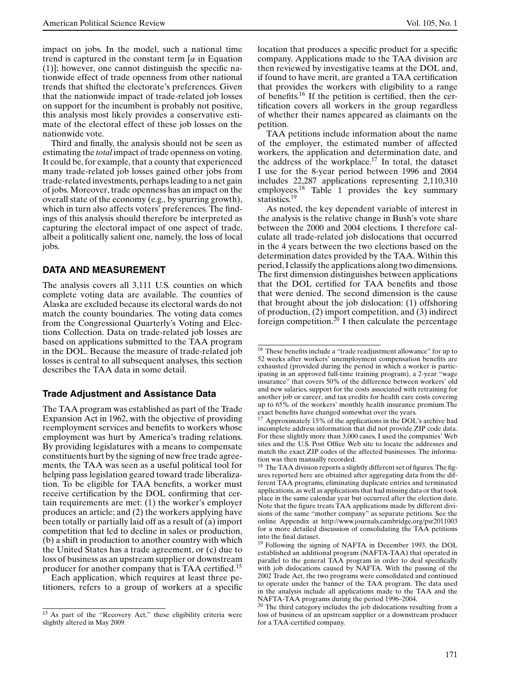impact on jobs. In the model, such a national time trend is captured in the constant term  $\alpha$  in Equation (1)]; however, one cannot distinguish the specific nationwide effect of trade openness from other national trends that shifted the electorate's preferences. Given that the nationwide impact of trade-related job losses on support for the incumbent is probably not positive, this analysis most likely provides a conservative estimate of the electoral effect of these job losses on the nationwide vote.

Third and finally, the analysis should not be seen as estimating the *total* impact of trade openness on voting. It could be, for example, that a county that experienced many trade-related job losses gained other jobs from trade-related investments, perhaps leading to a net gain of jobs. Moreover, trade openness has an impact on the overall state of the economy (e.g., by spurring growth), which in turn also affects voters' preferences. The findings of this analysis should therefore be interpreted as capturing the electoral impact of one aspect of trade, albeit a politically salient one, namely, the loss of local jobs.

#### **DATA AND MEASUREMENT**

The analysis covers all 3,111 U.S. counties on which complete voting data are available. The counties of Alaska are excluded because its electoral wards do not match the county boundaries. The voting data comes from the Congressional Quarterly's Voting and Elections Collection. Data on trade-related job losses are based on applications submitted to the TAA program in the DOL. Because the measure of trade-related job losses is central to all subsequent analyses, this section describes the TAA data in some detail.

#### **Trade Adjustment and Assistance Data**

The TAA program was established as part of the Trade Expansion Act in 1962, with the objective of providing reemployment services and benefits to workers whose employment was hurt by America's trading relations. By providing legislatures with a means to compensate constituents hurt by the signing of new free trade agreements, the TAA was seen as a useful political tool for helping pass legislation geared toward trade liberalization. To be eligible for TAA benefits, a worker must receive certification by the DOL confirming that certain requirements are met: (1) the worker's employer produces an article; and (2) the workers applying have been totally or partially laid off as a result of (a) import competition that led to decline in sales or production, (b) a shift in production to another country with which the United States has a trade agreement, or (c) due to loss of business as an upstream supplier or downstream producer for another company that is TAA certified.<sup>15</sup>

Each application, which requires at least three petitioners, refers to a group of workers at a specific location that produces a specific product for a specific company. Applications made to the TAA division are then reviewed by investigative teams at the DOL and, if found to have merit, are granted a TAA certification that provides the workers with eligibility to a range of benefits.<sup>16</sup> If the petition is certified, then the certification covers all workers in the group regardless of whether their names appeared as claimants on the petition.

TAA petitions include information about the name of the employer, the estimated number of affected workers, the application and determination date, and the address of the workplace.<sup>17</sup> In total, the dataset I use for the 8-year period between 1996 and 2004 includes 22,287 applications representing 2,110,310 employees.<sup>18</sup> Table 1 provides the key summary statistics.<sup>19</sup>

As noted, the key dependent variable of interest in the analysis is the relative change in Bush's vote share between the 2000 and 2004 elections. I therefore calculate all trade-related job dislocations that occurred in the 4 years between the two elections based on the determination dates provided by the TAA. Within this period, I classify the applications along two dimensions. The first dimension distinguishes between applications that the DOL certified for TAA benefits and those that were denied. The second dimension is the cause that brought about the job dislocation: (1) offshoring of production, (2) import competition, and (3) indirect foreign competition.<sup>20</sup> I then calculate the percentage

<sup>&</sup>lt;sup>15</sup> As part of the "Recovery Act," these eligibility criteria were slightly altered in May 2009.

<sup>&</sup>lt;sup>16</sup> These benefits include a "trade readjustment allowance" for up to 52 weeks after workers' unemployment compensation benefits are exhausted (provided during the period in which a worker is participating in an approved full-time training program), a 2-year "wage insurance" that covers 50% of the difference between workers' old and new salaries, support for the costs associated with retraining for another job or career, and tax credits for health care costs covering up to 65% of the workers' monthly health insurance premium.The exact benefits have changed somewhat over the years.

<sup>17</sup> Approximately 15% of the applications in the DOL's archive had incomplete address information that did not provide ZIP code data. For these slightly more than 3,000 cases, I used the companies' Web sites and the U.S. Post Office Web site to locate the addresses and match the exact ZIP codes of the affected businesses. The information was then manually recorded.

 $18$  The TAA division reports a slightly different set of figures. The figures reported here are obtained after aggregating data from the different TAA programs, eliminating duplicate entries and terminated applications, as well as applications that had missing data or that took place in the same calendar year but occurred after the election date. Note that the figure treats TAA applications made by different divisions of the same "mother company" as separate petitions. See the online Appendix at http://www.journals.cambridge.org/psr2011003 for a more detailed discussion of consolidating the TAA petitions into the final dataset.

<sup>19</sup> Following the signing of NAFTA in December 1993, the DOL established an additional program (NAFTA-TAA) that operated in parallel to the general TAA program in order to deal specifically with job dislocations caused by NAFTA. With the passing of the 2002 Trade Act, the two programs were consolidated and continued to operate under the banner of the TAA program. The data used in the analysis include all applications made to the TAA and the NAFTA-TAA programs during the period 1996–2004.

<sup>&</sup>lt;sup>20</sup> The third category includes the job dislocations resulting from a loss of business of an upstream supplier or a downstream producer for a TAA-certified company.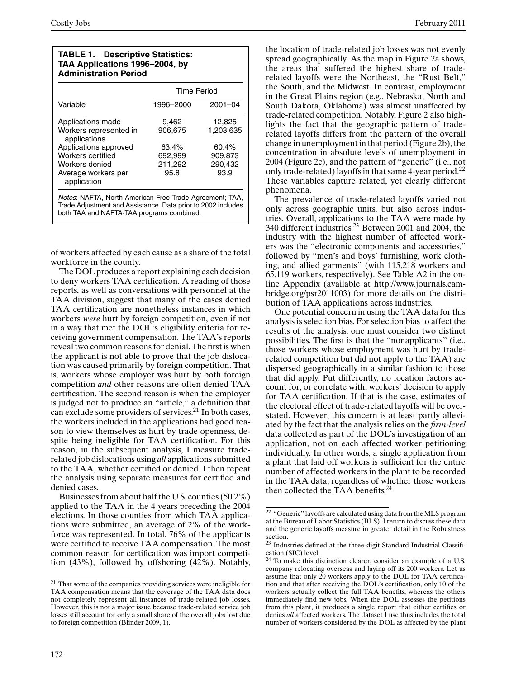| <b>TABLE 1. Descriptive Statistics:</b> |
|-----------------------------------------|
| TAA Applications 1996-2004, by          |
| <b>Administration Period</b>            |

|                                                                                                                                                                      | <b>Time Period</b> |             |  |  |
|----------------------------------------------------------------------------------------------------------------------------------------------------------------------|--------------------|-------------|--|--|
| Variable                                                                                                                                                             | 1996–2000          | $2001 - 04$ |  |  |
| Applications made                                                                                                                                                    | 9,462              | 12,825      |  |  |
| Workers represented in<br>applications                                                                                                                               | 906,675            | 1.203.635   |  |  |
| Applications approved                                                                                                                                                | 63.4%              | 60.4%       |  |  |
| Workers certified                                                                                                                                                    | 692,999            | 909.873     |  |  |
| Workers denied                                                                                                                                                       | 211,292            | 290,432     |  |  |
| Average workers per<br>application                                                                                                                                   | 95.8               | 93.9        |  |  |
| Notes: NAFTA, North American Free Trade Agreement; TAA,<br>Trade Adjustment and Assistance. Data prior to 2002 includes<br>both TAA and NAFTA-TAA programs combined. |                    |             |  |  |

of workers affected by each cause as a share of the total workforce in the county.

The DOL produces a report explaining each decision to deny workers TAA certification. A reading of those reports, as well as conversations with personnel at the TAA division, suggest that many of the cases denied TAA certification are nonetheless instances in which workers *were* hurt by foreign competition, even if not in a way that met the DOL's eligibility criteria for receiving government compensation. The TAA's reports reveal two common reasons for denial. The first is when the applicant is not able to prove that the job dislocation was caused primarily by foreign competition. That is, workers whose employer was hurt by both foreign competition *and* other reasons are often denied TAA certification. The second reason is when the employer is judged not to produce an "article," a definition that can exclude some providers of services.<sup>21</sup> In both cases, the workers included in the applications had good reason to view themselves as hurt by trade openness, despite being ineligible for TAA certification. For this reason, in the subsequent analysis, I measure traderelated job dislocations using *all* applications submitted to the TAA, whether certified or denied. I then repeat the analysis using separate measures for certified and denied cases.

Businesses from about half the U.S. counties (50.2%) applied to the TAA in the 4 years preceding the 2004 elections. In those counties from which TAA applications were submitted, an average of 2% of the workforce was represented. In total, 76% of the applicants were certified to receive TAA compensation. The most common reason for certification was import competition (43%), followed by offshoring (42%). Notably, the location of trade-related job losses was not evenly spread geographically. As the map in Figure 2a shows, the areas that suffered the highest share of traderelated layoffs were the Northeast, the "Rust Belt," the South, and the Midwest. In contrast, employment in the Great Plains region (e.g., Nebraska, North and South Dakota, Oklahoma) was almost unaffected by trade-related competition. Notably, Figure 2 also highlights the fact that the geographic pattern of traderelated layoffs differs from the pattern of the overall change in unemployment in that period (Figure 2b), the concentration in absolute levels of unemployment in 2004 (Figure 2c), and the pattern of "generic" (i.e., not only trade-related) layoffs in that same 4-year period.<sup>22</sup> These variables capture related, yet clearly different phenomena.

The prevalence of trade-related layoffs varied not only across geographic units, but also across industries. Overall, applications to the TAA were made by 340 different industries.<sup>23</sup> Between 2001 and 2004, the industry with the highest number of affected workers was the "electronic components and accessories," followed by "men's and boys' furnishing, work clothing, and allied garments" (with 115,218 workers and 65,119 workers, respectively). See Table A2 in the online Appendix (available at http://www.journals.cambridge.org/psr2011003) for more details on the distribution of TAA applications across industries.

One potential concern in using the TAA data for this analysis is selection bias. For selection bias to affect the results of the analysis, one must consider two distinct possibilities. The first is that the "nonapplicants" (i.e., those workers whose employment was hurt by traderelated competition but did not apply to the TAA) are dispersed geographically in a similar fashion to those that did apply. Put differently, no location factors account for, or correlate with, workers' decision to apply for TAA certification. If that is the case, estimates of the electoral effect of trade-related layoffs will be overstated. However, this concern is at least partly alleviated by the fact that the analysis relies on the *firm-level* data collected as part of the DOL's investigation of an application, not on each affected worker petitioning individually. In other words, a single application from a plant that laid off workers is sufficient for the entire number of affected workers in the plant to be recorded in the TAA data, regardless of whether those workers then collected the TAA benefits.<sup>24</sup>

<sup>21</sup> That some of the companies providing services were ineligible for TAA compensation means that the coverage of the TAA data does not completely represent all instances of trade-related job losses. However, this is not a major issue because trade-related service job losses still account for only a small share of the overall jobs lost due to foreign competition (Blinder 2009, 1).

<sup>&</sup>lt;sup>22</sup> "Generic" layoffs are calculated using data from the MLS program at the Bureau of Labor Statistics (BLS). I return to discuss these data and the generic layoffs measure in greater detail in the Robustness section.

<sup>23</sup> Industries defined at the three-digit Standard Industrial Classification (SIC) level.

<sup>24</sup> To make this distinction clearer, consider an example of a U.S. company relocating overseas and laying off its 200 workers. Let us assume that only 20 workers apply to the DOL for TAA certification and that after receiving the DOL's certification, only 10 of the workers actually collect the full TAA benefits, whereas the others immediately find new jobs. When the DOL assesses the petitions from this plant, it produces a single report that either certifies or denies *all* affected workers. The dataset I use thus includes the total number of workers considered by the DOL as affected by the plant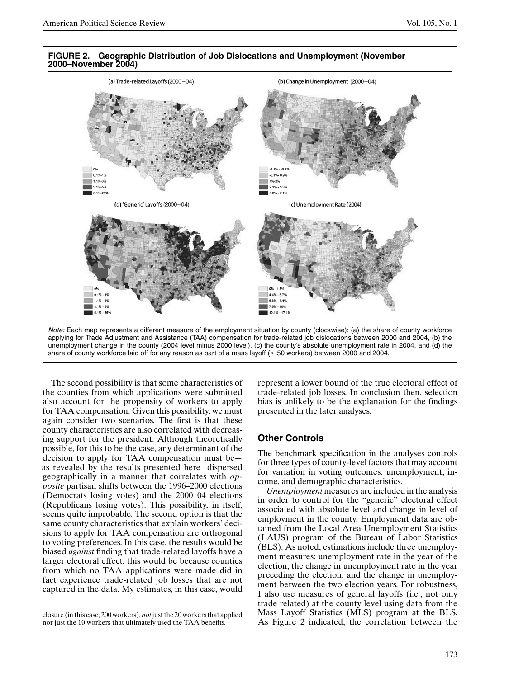

The second possibility is that some characteristics of the counties from which applications were submitted also account for the propensity of workers to apply for TAA compensation. Given this possibility, we must again consider two scenarios. The first is that these county characteristics are also correlated with decreasing support for the president. Although theoretically possible, for this to be the case, any determinant of the decision to apply for TAA compensation must be as revealed by the results presented here—dispersed geographically in a manner that correlates with *opposite* partisan shifts between the 1996–2000 elections (Democrats losing votes) and the 2000–04 elections (Republicans losing votes). This possibility, in itself, seems quite improbable. The second option is that the same county characteristics that explain workers' decisions to apply for TAA compensation are orthogonal to voting preferences. In this case, the results would be biased *against* finding that trade-related layoffs have a larger electoral effect; this would be because counties from which no TAA applications were made did in fact experience trade-related job losses that are not captured in the data. My estimates, in this case, would

represent a lower bound of the true electoral effect of trade-related job losses. In conclusion then, selection bias is unlikely to be the explanation for the findings presented in the later analyses.

#### **Other Controls**

The benchmark specification in the analyses controls for three types of county-level factors that may account for variation in voting outcomes: unemployment, income, and demographic characteristics.

*Unemployment* measures are included in the analysis in order to control for the "generic" electoral effect associated with absolute level and change in level of employment in the county. Employment data are obtained from the Local Area Unemployment Statistics (LAUS) program of the Bureau of Labor Statistics (BLS). As noted, estimations include three unemployment measures: unemployment rate in the year of the election, the change in unemployment rate in the year preceding the election, and the change in unemployment between the two election years. For robustness, I also use measures of general layoffs (i.e., not only trade related) at the county level using data from the Mass Layoff Statistics (MLS) program at the BLS. As Figure 2 indicated, the correlation between the

closure (in this case, 200 workers), *not* just the 20 workers that applied nor just the 10 workers that ultimately used the TAA benefits.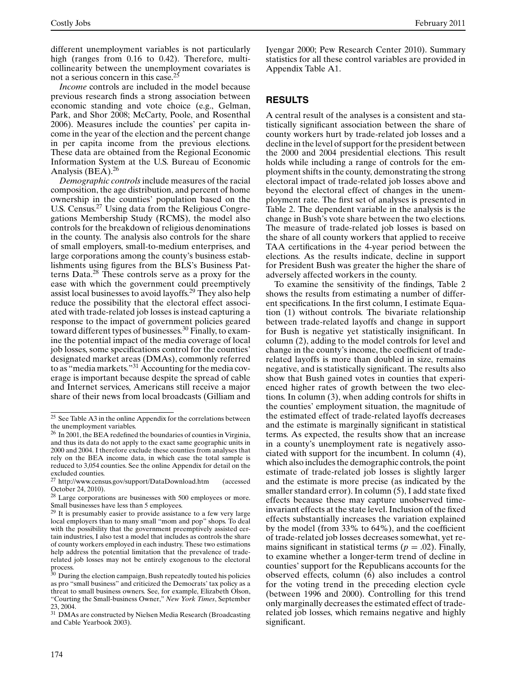different unemployment variables is not particularly high (ranges from 0.16 to 0.42). Therefore, multicollinearity between the unemployment covariates is not a serious concern in this case.25

*Income* controls are included in the model because previous research finds a strong association between economic standing and vote choice (e.g., Gelman, Park, and Shor 2008; McCarty, Poole, and Rosenthal 2006). Measures include the counties' per capita income in the year of the election and the percent change in per capita income from the previous elections. These data are obtained from the Regional Economic Information System at the U.S. Bureau of Economic Analysis  $(BEA)$ <sup>26</sup>

*Demographic controls* include measures of the racial composition, the age distribution, and percent of home ownership in the counties' population based on the U.S. Census.<sup>27</sup> Using data from the Religious Congregations Membership Study (RCMS), the model also controls for the breakdown of religious denominations in the county. The analysis also controls for the share of small employers, small-to-medium enterprises, and large corporations among the county's business establishments using figures from the BLS's Business Patterns Data.<sup>28</sup> These controls serve as a proxy for the ease with which the government could preemptively assist local businesses to avoid layoffs.<sup>29</sup> They also help reduce the possibility that the electoral effect associated with trade-related job losses is instead capturing a response to the impact of government policies geared toward different types of businesses.<sup>30</sup> Finally, to examine the potential impact of the media coverage of local job losses, some specifications control for the counties' designated market areas (DMAs), commonly referred to as "media markets."31 Accounting for the media coverage is important because despite the spread of cable and Internet services, Americans still receive a major share of their news from local broadcasts (Gilliam and

Iyengar 2000; Pew Research Center 2010). Summary statistics for all these control variables are provided in Appendix Table A1.

## **RESULTS**

A central result of the analyses is a consistent and statistically significant association between the share of county workers hurt by trade-related job losses and a decline in the level of support for the president between the 2000 and 2004 presidential elections. This result holds while including a range of controls for the employment shifts in the county, demonstrating the strong electoral impact of trade-related job losses above and beyond the electoral effect of changes in the unemployment rate. The first set of analyses is presented in Table 2. The dependent variable in the analysis is the change in Bush's vote share between the two elections. The measure of trade-related job losses is based on the share of all county workers that applied to receive TAA certifications in the 4-year period between the elections. As the results indicate, decline in support for President Bush was greater the higher the share of adversely affected workers in the county.

To examine the sensitivity of the findings, Table 2 shows the results from estimating a number of different specifications. In the first column, I estimate Equation (1) without controls. The bivariate relationship between trade-related layoffs and change in support for Bush is negative yet statistically insignificant. In column (2), adding to the model controls for level and change in the county's income, the coefficient of traderelated layoffs is more than doubled in size, remains negative, and is statistically significant. The results also show that Bush gained votes in counties that experienced higher rates of growth between the two elections. In column (3), when adding controls for shifts in the counties' employment situation, the magnitude of the estimated effect of trade-related layoffs decreases and the estimate is marginally significant in statistical terms. As expected, the results show that an increase in a county's unemployment rate is negatively associated with support for the incumbent. In column (4), which also includes the demographic controls, the point estimate of trade-related job losses is slightly larger and the estimate is more precise (as indicated by the smaller standard error). In column (5), I add state fixed effects because these may capture unobserved timeinvariant effects at the state level. Inclusion of the fixed effects substantially increases the variation explained by the model (from 33% to 64%), and the coefficient of trade-related job losses decreases somewhat, yet remains significant in statistical terms  $(p = .02)$ . Finally, to examine whether a longer-term trend of decline in counties' support for the Republicans accounts for the observed effects, column (6) also includes a control for the voting trend in the preceding election cycle (between 1996 and 2000). Controlling for this trend only marginally decreases the estimated effect of traderelated job losses, which remains negative and highly significant.

<sup>25</sup> See Table A3 in the online Appendix for the correlations between the unemployment variables.

<sup>&</sup>lt;sup>26</sup> In 2001, the BEA redefined the boundaries of counties in Virginia, and thus its data do not apply to the exact same geographic units in 2000 and 2004. I therefore exclude these counties from analyses that rely on the BEA income data, in which case the total sample is reduced to 3,054 counties. See the online Appendix for detail on the excluded counties.

<sup>27</sup> http://www.census.gov/support/DataDownload.htm (accessed October 24, 2010).

 $28$  Large corporations are businesses with 500 employees or more. Small businesses have less than 5 employees.

<sup>&</sup>lt;sup>29</sup> It is presumably easier to provide assistance to a few very large local employers than to many small "mom and pop" shops. To deal with the possibility that the government preemptively assisted certain industries, I also test a model that includes as controls the share of county workers employed in each industry. These two estimations help address the potential limitation that the prevalence of traderelated job losses may not be entirely exogenous to the electoral process.

 $30$  During the election campaign, Bush repeatedly touted his policies as pro "small business" and criticized the Democrats' tax policy as a threat to small business owners. See, for example, Elizabeth Olson, "Courting the Small-business Owner," *New York Times*, September 23, 2004.

<sup>&</sup>lt;sup>31</sup> DMAs are constructed by Nielsen Media Research (Broadcasting and Cable Yearbook 2003).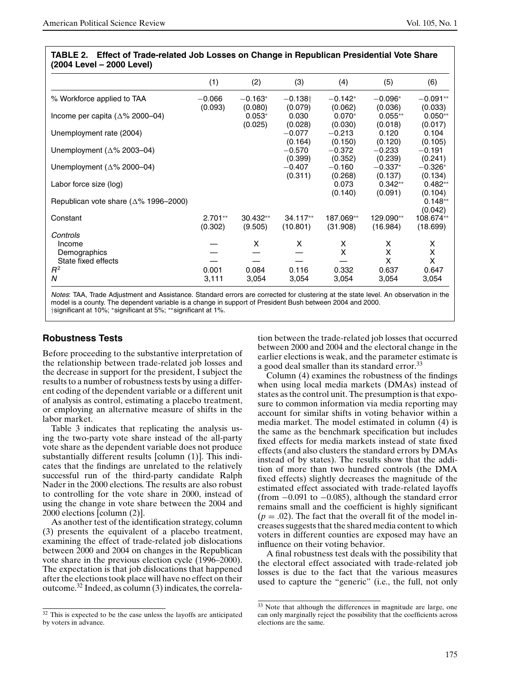| (2004 Level - 2000 Level)                     |                      |                      |                                  |                       |                       |                       |
|-----------------------------------------------|----------------------|----------------------|----------------------------------|-----------------------|-----------------------|-----------------------|
|                                               | (1)                  | (2)                  | (3)                              | (4)                   | (5)                   | (6)                   |
| % Workforce applied to TAA                    | $-0.066$<br>(0.093)  | $-0.163*$<br>(0.080) | $-0.138$ <sup>+</sup><br>(0.079) | $-0.142*$<br>(0.062)  | $-0.096*$<br>(0.036)  | $-0.091**$<br>(0.033) |
| Income per capita ( $\Delta\%$ 2000–04)       |                      | $0.053*$<br>(0.025)  | 0.030<br>(0.028)                 | $0.070*$<br>(0.030)   | $0.055**$<br>(0.018)  | $0.050**$<br>(0.017)  |
| Unemployment rate (2004)                      |                      |                      | $-0.077$<br>(0.164)              | $-0.213$<br>(0.150)   | 0.120<br>(0.120)      | 0.104<br>(0.105)      |
| Unemployment $(\Delta\% 2003 - 04)$           |                      |                      | $-0.570$<br>(0.399)              | $-0.372$<br>(0.352)   | $-0.233$<br>(0.239)   | $-0.191$<br>(0.241)   |
| Unemployment $(\Delta\% 2000 - 04)$           |                      |                      | $-0.407$<br>(0.311)              | $-0.160$<br>(0.268)   | $-0.337*$<br>(0.137)  | $-0.326*$<br>(0.134)  |
| Labor force size (log)                        |                      |                      |                                  | 0.073<br>(0.140)      | $0.342**$<br>(0.091)  | $0.482**$<br>(0.104)  |
| Republican vote share ( $\Delta\%$ 1996–2000) |                      |                      |                                  |                       |                       | $0.148**$<br>(0.042)  |
| Constant                                      | $2.701**$<br>(0.302) | 30.432**<br>(9.505)  | 34.117**<br>(10.801)             | 187.069**<br>(31.908) | 129.090**<br>(16.984) | 108.674**<br>(18.699) |
| Controls                                      |                      |                      |                                  |                       |                       |                       |
| Income                                        |                      | X                    | X                                | X                     | X                     | х                     |
| Demographics                                  |                      |                      |                                  | X                     | X                     | X                     |
| State fixed effects                           |                      |                      |                                  |                       | X                     | X                     |
| $R^2$                                         | 0.001                | 0.084                | 0.116                            | 0.332                 | 0.637                 | 0.647                 |
| N                                             | 3,111                | 3,054                | 3,054                            | 3,054                 | 3,054                 | 3,054                 |

# **TABLE 2. Effect of Trade-related Job Losses on Change in Republican Presidential Vote Share**

Notes: TAA, Trade Adjustment and Assistance. Standard errors are corrected for clustering at the state level. An observation in the model is a county. The dependent variable is a change in support of President Bush between 2004 and 2000. †significant at 10%; <sup>∗</sup>significant at 5%; ∗∗significant at 1%.

## **Robustness Tests**

Before proceeding to the substantive interpretation of the relationship between trade-related job losses and the decrease in support for the president, I subject the results to a number of robustness tests by using a different coding of the dependent variable or a different unit of analysis as control, estimating a placebo treatment, or employing an alternative measure of shifts in the labor market.

Table 3 indicates that replicating the analysis using the two-party vote share instead of the all-party vote share as the dependent variable does not produce substantially different results [column (1)]. This indicates that the findings are unrelated to the relatively successful run of the third-party candidate Ralph Nader in the 2000 elections. The results are also robust to controlling for the vote share in 2000, instead of using the change in vote share between the 2004 and 2000 elections [column (2)].

As another test of the identification strategy, column (3) presents the equivalent of a placebo treatment, examining the effect of trade-related job dislocations between 2000 and 2004 on changes in the Republican vote share in the previous election cycle (1996–2000). The expectation is that job dislocations that happened after the elections took place will have no effect on their outcome.<sup>32</sup> Indeed, as column  $(3)$  indicates, the correlation between the trade-related job losses that occurred between 2000 and 2004 and the electoral change in the earlier elections is weak, and the parameter estimate is a good deal smaller than its standard error.<sup>33</sup>

Column (4) examines the robustness of the findings when using local media markets (DMAs) instead of states as the control unit. The presumption is that exposure to common information via media reporting may account for similar shifts in voting behavior within a media market. The model estimated in column (4) is the same as the benchmark specification but includes fixed effects for media markets instead of state fixed effects (and also clusters the standard errors by DMAs instead of by states). The results show that the addition of more than two hundred controls (the DMA fixed effects) slightly decreases the magnitude of the estimated effect associated with trade-related layoffs (from −0.091 to −0.085), although the standard error remains small and the coefficient is highly significant  $(p = .02)$ . The fact that the overall fit of the model increases suggests that the shared media content to which voters in different counties are exposed may have an influence on their voting behavior.

A final robustness test deals with the possibility that the electoral effect associated with trade-related job losses is due to the fact that the various measures used to capture the "generic" (i.e., the full, not only

 $32$  This is expected to be the case unless the layoffs are anticipated by voters in advance.

<sup>33</sup> Note that although the differences in magnitude are large, one can only marginally reject the possibility that the coefficients across elections are the same.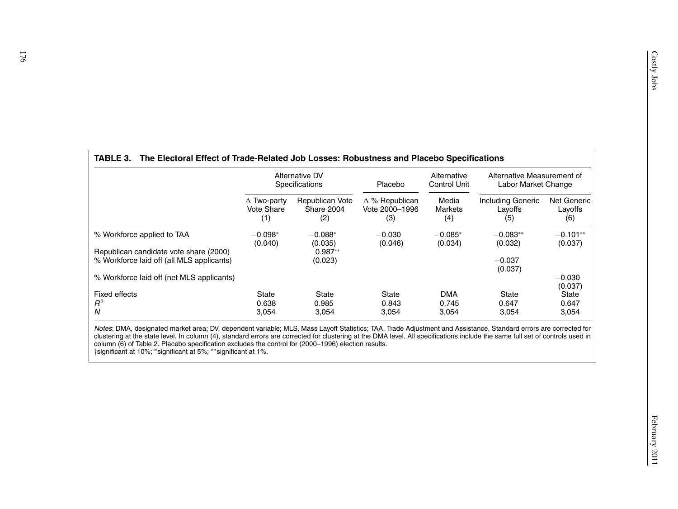|                                                                                                                                                                                                                                                                                                                                                                                                                                                                                                                           | Alternative DV<br>Specifications               |                                      | Placebo                                        | Alternative<br><b>Control Unit</b> | Alternative Measurement of<br>Labor Market Change |                                      |
|---------------------------------------------------------------------------------------------------------------------------------------------------------------------------------------------------------------------------------------------------------------------------------------------------------------------------------------------------------------------------------------------------------------------------------------------------------------------------------------------------------------------------|------------------------------------------------|--------------------------------------|------------------------------------------------|------------------------------------|---------------------------------------------------|--------------------------------------|
|                                                                                                                                                                                                                                                                                                                                                                                                                                                                                                                           | $\Delta$ Two-party<br><b>Vote Share</b><br>(1) | Republican Vote<br>Share 2004<br>(2) | $\Delta$ % Republican<br>Vote 2000-1996<br>(3) | Media<br><b>Markets</b><br>(4)     | <b>Including Generic</b><br>Layoffs<br>(5)        | <b>Net Generic</b><br>Layoffs<br>(6) |
| % Workforce applied to TAA                                                                                                                                                                                                                                                                                                                                                                                                                                                                                                | $-0.098*$<br>(0.040)                           | $-0.088*$<br>(0.035)                 | $-0.030$<br>(0.046)                            | $-0.085*$<br>(0.034)               | $-0.083**$<br>(0.032)                             | $-0.101**$<br>(0.037)                |
| Republican candidate vote share (2000)<br>% Workforce laid off (all MLS applicants)                                                                                                                                                                                                                                                                                                                                                                                                                                       |                                                | $0.987**$<br>(0.023)                 |                                                |                                    | $-0.037$<br>(0.037)                               |                                      |
| % Workforce laid off (net MLS applicants)                                                                                                                                                                                                                                                                                                                                                                                                                                                                                 |                                                |                                      |                                                |                                    |                                                   | $-0.030$<br>(0.037)                  |
| Fixed effects                                                                                                                                                                                                                                                                                                                                                                                                                                                                                                             | State                                          | State                                | State                                          | <b>DMA</b>                         | State                                             | State                                |
| $R^2$                                                                                                                                                                                                                                                                                                                                                                                                                                                                                                                     | 0.638                                          | 0.985                                | 0.843                                          | 0.745                              | 0.647                                             | 0.647                                |
| Ν                                                                                                                                                                                                                                                                                                                                                                                                                                                                                                                         | 3,054                                          | 3,054                                | 3,054                                          | 3,054                              | 3,054                                             | 3,054                                |
| Notes: DMA, designated market area; DV, dependent variable; MLS, Mass Layoff Statistics; TAA, Trade Adjustment and Assistance. Standard errors are corrected for<br>clustering at the state level. In column (4), standard errors are corrected for clustering at the DMA level. All specifications include the same full set of controls used in<br>column (6) of Table 2. Placebo specification excludes the control for (2000–1996) election results.<br>†significant at 10%; *significant at 5%; **significant at 1%. |                                                |                                      |                                                |                                    |                                                   |                                      |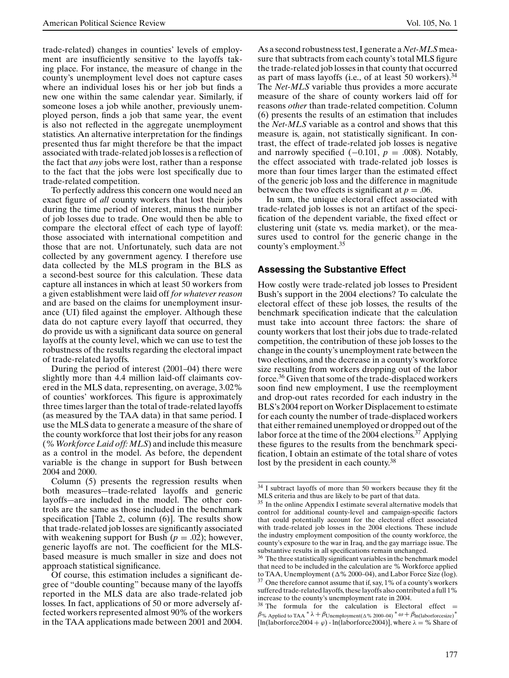trade-related) changes in counties' levels of employment are insufficiently sensitive to the layoffs taking place. For instance, the measure of change in the county's unemployment level does not capture cases where an individual loses his or her job but finds a new one within the same calendar year. Similarly, if someone loses a job while another, previously unemployed person, finds a job that same year, the event is also not reflected in the aggregate unemployment statistics. An alternative interpretation for the findings presented thus far might therefore be that the impact associated with trade-related job losses is a reflection of the fact that *any* jobs were lost, rather than a response to the fact that the jobs were lost specifically due to trade-related competition.

To perfectly address this concern one would need an exact figure of *all* county workers that lost their jobs during the time period of interest, minus the number of job losses due to trade. One would then be able to compare the electoral effect of each type of layoff: those associated with international competition and those that are not. Unfortunately, such data are not collected by any government agency. I therefore use data collected by the MLS program in the BLS as a second-best source for this calculation. These data capture all instances in which at least 50 workers from a given establishment were laid off *for whatever reason* and are based on the claims for unemployment insurance (UI) filed against the employer. Although these data do not capture every layoff that occurred, they do provide us with a significant data source on general layoffs at the county level, which we can use to test the robustness of the results regarding the electoral impact of trade-related layoffs.

During the period of interest (2001–04) there were slightly more than 4.4 million laid-off claimants covered in the MLS data, representing, on average, 3.02% of counties' workforces. This figure is approximately three times larger than the total of trade-related layoffs (as measured by the TAA data) in that same period. I use the MLS data to generate a measure of the share of the county workforce that lost their jobs for any reason (*% Workforce Laid off: MLS*) and include this measure as a control in the model. As before, the dependent variable is the change in support for Bush between 2004 and 2000.

Column (5) presents the regression results when both measures—trade-related layoffs and generic layoffs—are included in the model. The other controls are the same as those included in the benchmark specification [Table 2, column (6)]. The results show that trade-related job losses are significantly associated with weakening support for Bush  $(p = .02)$ ; however, generic layoffs are not. The coefficient for the MLSbased measure is much smaller in size and does not approach statistical significance.

Of course, this estimation includes a significant degree of "double counting" because many of the layoffs reported in the MLS data are also trade-related job losses. In fact, applications of 50 or more adversely affected workers represented almost 90% of the workers in the TAA applications made between 2001 and 2004.

As a second robustness test, I generate a*Net-MLS* measure that subtracts from each county's total MLS figure the trade-related job losses in that county that occurred as part of mass layoffs (i.e., of at least 50 workers). $34$ The *Net-MLS* variable thus provides a more accurate measure of the share of county workers laid off for reasons *other* than trade-related competition. Column (6) presents the results of an estimation that includes the *Net-MLS* variable as a control and shows that this measure is, again, not statistically significant. In contrast, the effect of trade-related job losses is negative and narrowly specified  $(-0.101, p = .008)$ . Notably, the effect associated with trade-related job losses is more than four times larger than the estimated effect of the generic job loss and the difference in magnitude between the two effects is significant at  $p = .06$ .

In sum, the unique electoral effect associated with trade-related job losses is not an artifact of the specification of the dependent variable, the fixed effect or clustering unit (state vs. media market), or the measures used to control for the generic change in the county's employment.35

#### **Assessing the Substantive Effect**

How costly were trade-related job losses to President Bush's support in the 2004 elections? To calculate the electoral effect of these job losses, the results of the benchmark specification indicate that the calculation must take into account three factors: the share of county workers that lost their jobs due to trade-related competition, the contribution of these job losses to the change in the county's unemployment rate between the two elections, and the decrease in a county's workforce size resulting from workers dropping out of the labor force.<sup>36</sup> Given that some of the trade-displaced workers soon find new employment, I use the reemployment and drop-out rates recorded for each industry in the BLS's 2004 report on Worker Displacement to estimate for each county the number of trade-displaced workers that either remained unemployed or dropped out of the labor force at the time of the 2004 elections.<sup>37</sup> Applying these figures to the results from the benchmark specification, I obtain an estimate of the total share of votes lost by the president in each county.<sup>38</sup>

<sup>&</sup>lt;sup>34</sup> I subtract layoffs of more than 50 workers because they fit the MLS criteria and thus are likely to be part of that data.

<sup>&</sup>lt;sup>35</sup> In the online Appendix I estimate several alternative models that control for additional county-level and campaign-specific factors that could potentially account for the electoral effect associated with trade-related job losses in the 2004 elections. These include the industry employment composition of the county workforce, the county's exposure to the war in Iraq, and the gay marriage issue. The substantive results in all specifications remain unchanged.

<sup>&</sup>lt;sup>36</sup> The three statistically significant variables in the benchmark model that need to be included in the calculation are % Workforce applied to TAA, Unemployment ( $\Delta\%$  2000–04), and Labor Force Size (log).  $37$  One therefore cannot assume that if, say, 1% of a county's workers

suffered trade-related layoffs, these layoffs also contributed a full 1% increase to the county's unemployment rate in 2004.

 $38$  The formula for the calculation is Electoral effect = *β*% Applied to TAA  $* \lambda + \beta$ Unemployment(Δ% 2000–04)  $* \omega + \beta$ ln(laborforcesize)<sup>†</sup> [ln(laborforce2004 +  $\varphi$ ) - ln(laborforce2004)], where  $\lambda = \%$  Share of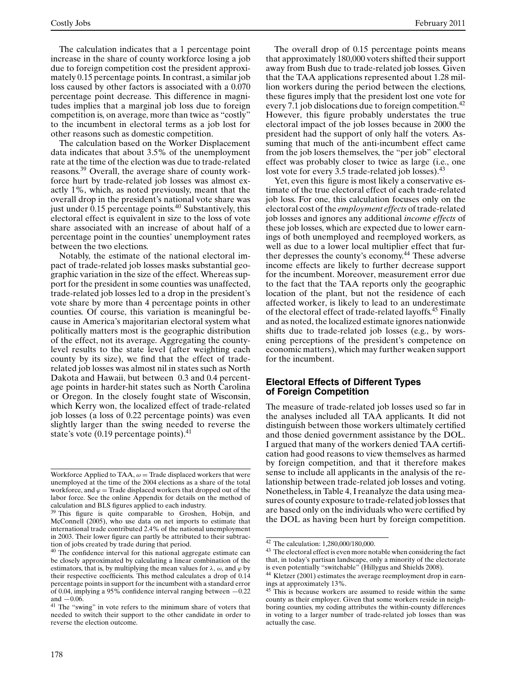The calculation indicates that a 1 percentage point increase in the share of county workforce losing a job due to foreign competition cost the president approximately 0.15 percentage points. In contrast, a similar job loss caused by other factors is associated with a 0.070 percentage point decrease. This difference in magnitudes implies that a marginal job loss due to foreign competition is, on average, more than twice as "costly" to the incumbent in electoral terms as a job lost for other reasons such as domestic competition.

The calculation based on the Worker Displacement data indicates that about 3.5% of the unemployment rate at the time of the election was due to trade-related reasons.<sup>39</sup> Overall, the average share of county workforce hurt by trade-related job losses was almost exactly 1%, which, as noted previously, meant that the overall drop in the president's national vote share was just under  $0.15$  percentage points.<sup>40</sup> Substantively, this electoral effect is equivalent in size to the loss of vote share associated with an increase of about half of a percentage point in the counties' unemployment rates between the two elections.

Notably, the estimate of the national electoral impact of trade-related job losses masks substantial geographic variation in the size of the effect. Whereas support for the president in some counties was unaffected, trade-related job losses led to a drop in the president's vote share by more than 4 percentage points in other counties. Of course, this variation is meaningful because in America's majoritarian electoral system what politically matters most is the geographic distribution of the effect, not its average. Aggregating the countylevel results to the state level (after weighting each county by its size), we find that the effect of traderelated job losses was almost nil in states such as North Dakota and Hawaii, but between 0.3 and 0.4 percentage points in harder-hit states such as North Carolina or Oregon. In the closely fought state of Wisconsin, which Kerry won, the localized effect of trade-related job losses (a loss of 0.22 percentage points) was even slightly larger than the swing needed to reverse the state's vote  $(0.19$  percentage points).<sup>41</sup>

The overall drop of 0.15 percentage points means that approximately 180,000 voters shifted their support away from Bush due to trade-related job losses. Given that the TAA applications represented about 1.28 million workers during the period between the elections, these figures imply that the president lost one vote for every 7.1 job dislocations due to foreign competition.<sup>42</sup> However, this figure probably understates the true electoral impact of the job losses because in 2000 the president had the support of only half the voters. Assuming that much of the anti-incumbent effect came from the job losers themselves, the "per job" electoral effect was probably closer to twice as large (i.e., one lost vote for every 3.5 trade-related job losses).<sup>43</sup>

Yet, even this figure is most likely a conservative estimate of the true electoral effect of each trade-related job loss. For one, this calculation focuses only on the electoral cost of the *employment effects* of trade-related job losses and ignores any additional *income effects* of these job losses, which are expected due to lower earnings of both unemployed and reemployed workers, as well as due to a lower local multiplier effect that further depresses the county's economy.44 These adverse income effects are likely to further decrease support for the incumbent. Moreover, measurement error due to the fact that the TAA reports only the geographic location of the plant, but not the residence of each affected worker, is likely to lead to an underestimate of the electoral effect of trade-related layoffs.45 Finally and as noted, the localized estimate ignores nationwide shifts due to trade-related job losses (e.g., by worsening perceptions of the president's competence on economic matters), which may further weaken support for the incumbent.

#### **Electoral Effects of Different Types of Foreign Competition**

The measure of trade-related job losses used so far in the analyses included all TAA applicants. It did not distinguish between those workers ultimately certified and those denied government assistance by the DOL. I argued that many of the workers denied TAA certification had good reasons to view themselves as harmed by foreign competition, and that it therefore makes sense to include all applicants in the analysis of the relationship between trade-related job losses and voting. Nonetheless, in Table 4, I reanalyze the data using measures of county exposure to trade-related job losses that are based only on the individuals who were certified by the DOL as having been hurt by foreign competition.

Workforce Applied to TAA,  $\omega$  = Trade displaced workers that were unemployed at the time of the 2004 elections as a share of the total workforce, and  $\varphi$  = Trade displaced workers that dropped out of the labor force. See the online Appendix for details on the method of calculation and BLS figures applied to each industry.

<sup>&</sup>lt;sup>39</sup> This figure is quite comparable to Groshen, Hobijn, and McConnell (2005), who use data on net imports to estimate that international trade contributed 2.4% of the national unemployment in 2003. Their lower figure can partly be attributed to their subtraction of jobs created by trade during that period.

<sup>40</sup> The confidence interval for this national aggregate estimate can be closely approximated by calculating a linear combination of the estimators, that is, by multiplying the mean values for  $\lambda$ ,  $\omega$ , and  $\varphi$  by their respective coefficients. This method calculates a drop of 0.14 percentage points in support for the incumbent with a standard error of 0.04, implying a 95% confidence interval ranging between —0.22 and  $-0.06$ .

<sup>41</sup> The "swing" in vote refers to the minimum share of voters that needed to switch their support to the other candidate in order to reverse the election outcome.

<sup>42</sup> The calculation: 1,280,000/180,000.

<sup>&</sup>lt;sup>43</sup> The electoral effect is even more notable when considering the fact that, in today's partisan landscape, only a minority of the electorate is even potentially "switchable" (Hillygus and Shields 2008).

<sup>&</sup>lt;sup>44</sup> Kletzer (2001) estimates the average reemployment drop in earnings at approximately 13%.

<sup>&</sup>lt;sup>45</sup> This is because workers are assumed to reside within the same county as their employer. Given that some workers reside in neighboring counties, my coding attributes the within-county differences in voting to a larger number of trade-related job losses than was actually the case.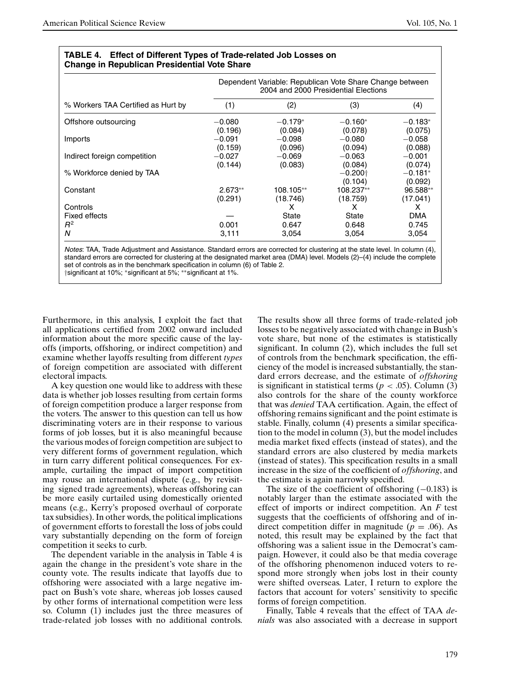| % Workers TAA Certified as Hurt by | Dependent Variable: Republican Vote Share Change between<br>2004 and 2000 Presidential Elections |                                |                                  |                                |  |  |  |
|------------------------------------|--------------------------------------------------------------------------------------------------|--------------------------------|----------------------------------|--------------------------------|--|--|--|
|                                    | (1)                                                                                              | (2)                            | (3)                              | (4)                            |  |  |  |
| Offshore outsourcing               | $-0.080$<br>(0.196)                                                                              | $-0.179*$<br>(0.084)           | $-0.160*$<br>(0.078)             | $-0.183*$<br>(0.075)           |  |  |  |
| Imports                            | $-0.091$                                                                                         | $-0.098$                       | $-0.080$                         | $-0.058$                       |  |  |  |
| Indirect foreign competition       | (0.159)<br>$-0.027$<br>(0.144)                                                                   | (0.096)<br>$-0.069$<br>(0.083) | (0.094)<br>$-0.063$<br>(0.084)   | (0.088)<br>$-0.001$<br>(0.074) |  |  |  |
| % Workforce denied by TAA          |                                                                                                  |                                | $-0.200$ <sup>+</sup><br>(0.104) | $-0.181*$<br>(0.092)           |  |  |  |
| Constant                           | $2.673**$<br>(0.291)                                                                             | 108.105**<br>(18.746)          | 108.237**<br>(18.759)            | 96.588**<br>(17.041)           |  |  |  |
| Controls                           |                                                                                                  | x                              | x                                | x                              |  |  |  |
| Fixed effects<br>$R^2$             |                                                                                                  | State                          | State                            | <b>DMA</b>                     |  |  |  |
| N                                  | 0.001<br>3.111                                                                                   | 0.647<br>3,054                 | 0.648<br>3,054                   | 0.745<br>3,054                 |  |  |  |

#### **TABLE 4. Effect of Different Types of Trade-related Job Losses on Change in Republican Presidential Vote Share**

Notes: TAA, Trade Adjustment and Assistance. Standard errors are corrected for clustering at the state level. In column (4), standard errors are corrected for clustering at the designated market area (DMA) level. Models (2)–(4) include the complete set of controls as in the benchmark specification in column (6) of Table 2. †significant at 10%; <sup>∗</sup>significant at 5%; ∗∗significant at 1%.

Furthermore, in this analysis, I exploit the fact that all applications certified from 2002 onward included information about the more specific cause of the layoffs (imports, offshoring, or indirect competition) and examine whether layoffs resulting from different *types* of foreign competition are associated with different electoral impacts.

A key question one would like to address with these data is whether job losses resulting from certain forms of foreign competition produce a larger response from the voters. The answer to this question can tell us how discriminating voters are in their response to various forms of job losses, but it is also meaningful because the various modes of foreign competition are subject to very different forms of government regulation, which in turn carry different political consequences. For example, curtailing the impact of import competition may rouse an international dispute (e.g., by revisiting signed trade agreements), whereas offshoring can be more easily curtailed using domestically oriented means (e.g., Kerry's proposed overhaul of corporate tax subsidies). In other words, the political implications of government efforts to forestall the loss of jobs could vary substantially depending on the form of foreign competition it seeks to curb.

The dependent variable in the analysis in Table 4 is again the change in the president's vote share in the county vote. The results indicate that layoffs due to offshoring were associated with a large negative impact on Bush's vote share, whereas job losses caused by other forms of international competition were less so. Column (1) includes just the three measures of trade-related job losses with no additional controls.

The results show all three forms of trade-related job losses to be negatively associated with change in Bush's vote share, but none of the estimates is statistically significant. In column (2), which includes the full set of controls from the benchmark specification, the efficiency of the model is increased substantially, the standard errors decrease, and the estimate of *offshoring* is significant in statistical terms ( $p < .05$ ). Column (3) also controls for the share of the county workforce that was *denied* TAA certification. Again, the effect of offshoring remains significant and the point estimate is stable. Finally, column (4) presents a similar specification to the model in column (3), but the model includes media market fixed effects (instead of states), and the standard errors are also clustered by media markets (instead of states). This specification results in a small increase in the size of the coefficient of *offshoring*, and the estimate is again narrowly specified.

The size of the coefficient of offshoring  $(-0.183)$  is notably larger than the estimate associated with the effect of imports or indirect competition. An *F* test suggests that the coefficients of offshoring and of indirect competition differ in magnitude ( $p = .06$ ). As noted, this result may be explained by the fact that offshoring was a salient issue in the Democrat's campaign. However, it could also be that media coverage of the offshoring phenomenon induced voters to respond more strongly when jobs lost in their county were shifted overseas. Later, I return to explore the factors that account for voters' sensitivity to specific forms of foreign competition.

Finally, Table 4 reveals that the effect of TAA *denials* was also associated with a decrease in support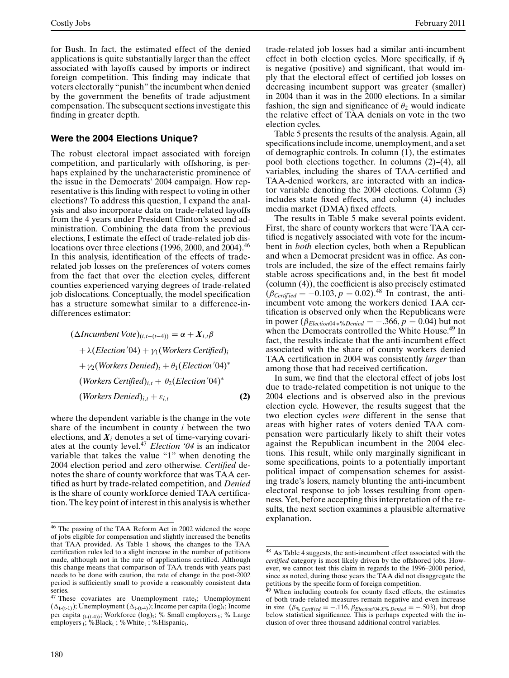for Bush. In fact, the estimated effect of the denied applications is quite substantially larger than the effect associated with layoffs caused by imports or indirect foreign competition. This finding may indicate that voters electorally "punish" the incumbent when denied by the government the benefits of trade adjustment compensation. The subsequent sections investigate this finding in greater depth.

## **Were the 2004 Elections Unique?**

The robust electoral impact associated with foreign competition, and particularly with offshoring, is perhaps explained by the uncharacteristic prominence of the issue in the Democrats' 2004 campaign. How representative is this finding with respect to voting in other elections? To address this question, I expand the analysis and also incorporate data on trade-related layoffs from the 4 years under President Clinton's second administration. Combining the data from the previous elections, I estimate the effect of trade-related job dislocations over three elections (1996, 2000, and 2004).<sup>46</sup> In this analysis, identification of the effects of traderelated job losses on the preferences of voters comes from the fact that over the election cycles, different counties experienced varying degrees of trade-related job dislocations. Conceptually, the model specification has a structure somewhat similar to a difference-indifferences estimator:

 $(\Delta Incumbent Vote)_{(i,t-(t-4))} = \alpha + X_{i,t}\beta$  $+ \lambda$ (*Election'* 04)  $+ \gamma_1$ (*Workers Certified*)<sub>*i*</sub>  $+ \gamma_2(Workers\ Denied)_i + \theta_1(Election'04)^*$  $(Workers \ \ \, \text{Certified})_{i,t} + \theta_2 (Election'04)^*$  $(Workers Denied)_{i,t} + \varepsilon_{i,t}$  (2)

where the dependent variable is the change in the vote share of the incumbent in county *i* between the two elections, and  $X_i$  denotes a set of time-varying covariates at the county level.47 *Election '04* is an indicator variable that takes the value "1" when denoting the 2004 election period and zero otherwise. *Certified* denotes the share of county workforce that was TAA certified as hurt by trade-related competition, and *Denied* is the share of county workforce denied TAA certification. The key point of interest in this analysis is whether trade-related job losses had a similar anti-incumbent effect in both election cycles. More specifically, if *θ*<sup>1</sup> is negative (positive) and significant, that would imply that the electoral effect of certified job losses on decreasing incumbent support was greater (smaller) in 2004 than it was in the 2000 elections. In a similar fashion, the sign and significance of  $\theta_2$  would indicate the relative effect of TAA denials on vote in the two election cycles.

Table 5 presents the results of the analysis. Again, all specifications include income, unemployment, and a set of demographic controls. In column (1), the estimates pool both elections together. In columns (2)–(4), all variables, including the shares of TAA-certified and TAA-denied workers, are interacted with an indicator variable denoting the 2004 elections. Column (3) includes state fixed effects, and column (4) includes media market (DMA) fixed effects.

The results in Table 5 make several points evident. First, the share of county workers that were TAA certified is negatively associated with vote for the incumbent in *both* election cycles, both when a Republican and when a Democrat president was in office. As controls are included, the size of the effect remains fairly stable across specifications and, in the best fit model (column (4)), the coefficient is also precisely estimated  $(\beta_{\text{Perified}} = -0.103, p = 0.02)$ .<sup>48</sup> In contrast, the antiincumbent vote among the workers denied TAA certification is observed only when the Republicans were in power ( $\beta$ *Election*04 \*%*Denied* = −*.*366*, p* = 0*.*04) but not when the Democrats controlled the White House.<sup>49</sup> In fact, the results indicate that the anti-incumbent effect associated with the share of county workers denied TAA certification in 2004 was consistently *larger* than among those that had received certification.

In sum, we find that the electoral effect of jobs lost due to trade-related competition is not unique to the 2004 elections and is observed also in the previous election cycle. However, the results suggest that the two election cycles *were* different in the sense that areas with higher rates of voters denied TAA compensation were particularly likely to shift their votes against the Republican incumbent in the 2004 elections. This result, while only marginally significant in some specifications, points to a potentially important political impact of compensation schemes for assisting trade's losers, namely blunting the anti-incumbent electoral response to job losses resulting from openness. Yet, before accepting this interpretation of the results, the next section examines a plausible alternative explanation.

<sup>46</sup> The passing of the TAA Reform Act in 2002 widened the scope of jobs eligible for compensation and slightly increased the benefits that TAA provided. As Table 1 shows, the changes to the TAA certification rules led to a slight increase in the number of petitions made, although not in the rate of applications certified. Although this change means that comparison of TAA trends with years past needs to be done with caution, the rate of change in the post-2002 period is sufficiently small to provide a reasonably consistent data series.

 $47$  These covariates are Unemployment rate<sub>t</sub>; Unemployment  $(\Delta_{t-(t-1)})$ ; Unemployment  $(\Delta_{t-(t-4)})$ ; Income per capita (log)<sub>t</sub>; Income per capita  $_{(t-(t-4))}$ ; Workforce  $(log)_{t}$ ; % Small employers  $_{t}$ ; % Large employers  $_t$ ; %Black $_t$ ; %White $_t$ ; %Hispanic $_t$ .

<sup>48</sup> As Table 4 suggests, the anti-incumbent effect associated with the *certified* category is most likely driven by the offshored jobs. However, we cannot test this claim in regards to the 1996–2000 period, since as noted, during those years the TAA did not disaggregate the petitions by the specific form of foreign competition.

When including controls for county fixed effects, the estimates of both trade-related measures remain negative and even increase in size (*β*% *Certif ied* = −*.*116*, βElection*<sup>04</sup> *<sup>X</sup>*% *Denied* = −*.*503), but drop below statistical significance. This is perhaps expected with the inclusion of over three thousand additional control variables.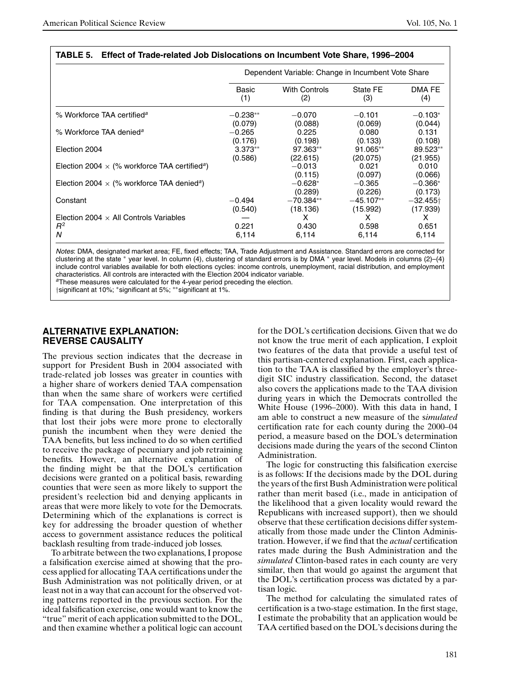| Dependent Variable: Change in Incumbent Vote Share |                                                              |                                                                                                       |                                                                                                      |  |  |
|----------------------------------------------------|--------------------------------------------------------------|-------------------------------------------------------------------------------------------------------|------------------------------------------------------------------------------------------------------|--|--|
| Basic<br>(1)                                       | <b>With Controls</b><br>(2)                                  | State FE<br>(3)                                                                                       | DMA FE<br>(4)                                                                                        |  |  |
| $-0.238**$                                         | $-0.070$                                                     | $-0.101$                                                                                              | $-0.103*$                                                                                            |  |  |
| (0.079)                                            | (0.088)                                                      | (0.069)                                                                                               | (0.044)                                                                                              |  |  |
|                                                    |                                                              |                                                                                                       | 0.131                                                                                                |  |  |
|                                                    |                                                              |                                                                                                       | (0.108)                                                                                              |  |  |
| $3.373**$                                          | 97.363**                                                     | 91.065**                                                                                              | 89.523**                                                                                             |  |  |
| (0.586)                                            | (22.615)                                                     | (20.075)                                                                                              | (21.955)                                                                                             |  |  |
|                                                    | $-0.013$                                                     | 0.021                                                                                                 | 0.010                                                                                                |  |  |
|                                                    |                                                              |                                                                                                       | (0.066)                                                                                              |  |  |
|                                                    |                                                              |                                                                                                       | $-0.366*$                                                                                            |  |  |
|                                                    |                                                              |                                                                                                       | (0.173)                                                                                              |  |  |
|                                                    |                                                              |                                                                                                       | $-32.455\dagger$                                                                                     |  |  |
|                                                    |                                                              |                                                                                                       | (17.939)                                                                                             |  |  |
|                                                    |                                                              |                                                                                                       | X                                                                                                    |  |  |
|                                                    |                                                              |                                                                                                       | 0.651                                                                                                |  |  |
|                                                    |                                                              |                                                                                                       | 6,114                                                                                                |  |  |
|                                                    | $-0.265$<br>(0.176)<br>$-0.494$<br>(0.540)<br>0.221<br>6,114 | 0.225<br>(0.198)<br>(0.115)<br>$-0.628*$<br>(0.289)<br>$-70.384**$<br>(18.136)<br>x<br>0.430<br>6,114 | 0.080<br>(0.133)<br>(0.097)<br>$-0.365$<br>(0.226)<br>$-45.107**$<br>(15.992)<br>x<br>0.598<br>6,114 |  |  |

#### **TABLE 5. Effect of Trade-related Job Dislocations on Incumbent Vote Share, 1996–2004**

Notes: DMA, designated market area; FE, fixed effects; TAA, Trade Adjustment and Assistance. Standard errors are corrected for clustering at the state ∗ year level. In column (4), clustering of standard errors is by DMA ∗ year level. Models in columns (2)–(4) include control variables available for both elections cycles: income controls, unemployment, racial distribution, and employment characteristics. All controls are interacted with the Election 2004 indicator variable.

<sup>a</sup>These measures were calculated for the 4-year period preceding the election.

†significant at 10%; <sup>∗</sup>significant at 5%; ∗∗significant at 1%.

### **ALTERNATIVE EXPLANATION: REVERSE CAUSALITY**

The previous section indicates that the decrease in support for President Bush in 2004 associated with trade-related job losses was greater in counties with a higher share of workers denied TAA compensation than when the same share of workers were certified for TAA compensation. One interpretation of this finding is that during the Bush presidency, workers that lost their jobs were more prone to electorally punish the incumbent when they were denied the TAA benefits, but less inclined to do so when certified to receive the package of pecuniary and job retraining benefits. However, an alternative explanation of the finding might be that the DOL's certification decisions were granted on a political basis, rewarding counties that were seen as more likely to support the president's reelection bid and denying applicants in areas that were more likely to vote for the Democrats. Determining which of the explanations is correct is key for addressing the broader question of whether access to government assistance reduces the political backlash resulting from trade-induced job losses.

To arbitrate between the two explanations, I propose a falsification exercise aimed at showing that the process applied for allocating TAA certifications under the Bush Administration was not politically driven, or at least not in a way that can account for the observed voting patterns reported in the previous section. For the ideal falsification exercise, one would want to know the "true" merit of each application submitted to the DOL, and then examine whether a political logic can account

for the DOL's certification decisions. Given that we do not know the true merit of each application, I exploit two features of the data that provide a useful test of this partisan-centered explanation. First, each application to the TAA is classified by the employer's threedigit SIC industry classification. Second, the dataset also covers the applications made to the TAA division during years in which the Democrats controlled the White House (1996–2000). With this data in hand, I am able to construct a new measure of the s*imulated* certification rate for each county during the 2000–04 period, a measure based on the DOL's determination decisions made during the years of the second Clinton Administration.

The logic for constructing this falsification exercise is as follows: If the decisions made by the DOL during the years of the first Bush Administration were political rather than merit based (i.e., made in anticipation of the likelihood that a given locality would reward the Republicans with increased support), then we should observe that these certification decisions differ systematically from those made under the Clinton Administration. However, if we find that the *actual* certification rates made during the Bush Administration and the *simulated* Clinton-based rates in each county are very similar, then that would go against the argument that the DOL's certification process was dictated by a partisan logic.

The method for calculating the simulated rates of certification is a two-stage estimation. In the first stage, I estimate the probability that an application would be TAA certified based on the DOL's decisions during the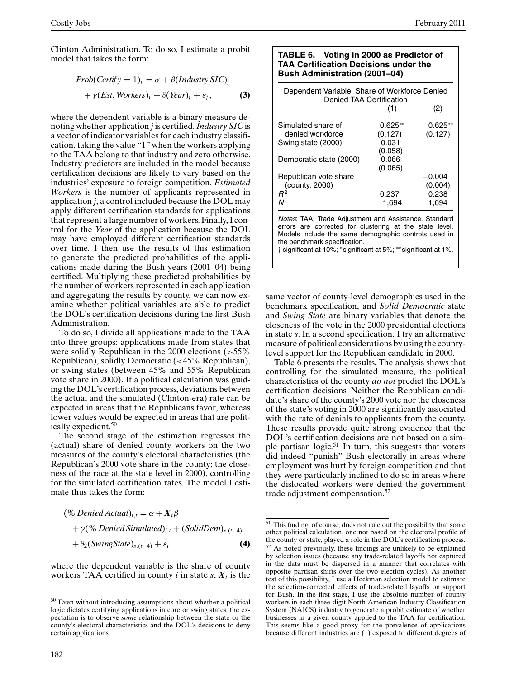Clinton Administration. To do so, I estimate a probit model that takes the form:

$$
Prob(Cerify = 1)j = \alpha + \beta(Industry SIC)j
$$
  
+  $\gamma(Est. Works)j + \delta(Year)j + \varepsilonj,$  (3)

where the dependent variable is a binary measure denoting whether application *j* is certified.*Industry SIC* is a vector of indicator variables for each industry classification, taking the value "1" when the workers applying to the TAA belong to that industry and zero otherwise. Industry predictors are included in the model because certification decisions are likely to vary based on the industries' exposure to foreign competition. *Estimated Workers* is the number of applicants represented in application *j*, a control included because the DOL may apply different certification standards for applications that represent a large number of workers. Finally, I control for the *Year* of the application because the DOL may have employed different certification standards over time. I then use the results of this estimation to generate the predicted probabilities of the applications made during the Bush years (2001–04) being certified. Multiplying these predicted probabilities by the number of workers represented in each application and aggregating the results by county, we can now examine whether political variables are able to predict the DOL's certification decisions during the first Bush Administration.

To do so, I divide all applications made to the TAA into three groups: applications made from states that were solidly Republican in the 2000 elections (*>*55% Republican), solidly Democratic (*<*45% Republican), or swing states (between 45% and 55% Republican vote share in 2000). If a political calculation was guiding the DOL's certification process, deviations between the actual and the simulated (Clinton-era) rate can be expected in areas that the Republicans favor, whereas lower values would be expected in areas that are politically expedient.<sup>50</sup>

The second stage of the estimation regresses the (actual) share of denied county workers on the two measures of the county's electoral characteristics (the Republican's 2000 vote share in the county; the closeness of the race at the state level in 2000), controlling for the simulated certification rates. The model I estimate thus takes the form:

$$
(\% Denied Actual)_{i,t} = \alpha + X_i \beta
$$
  
+  $\gamma$ (% Denied Simulated)\_{i,t} + (SolidDem)\_{s,(t-4)}  
+  $\theta_2$ (SwingState)\_{s,(t-4)} +  $\varepsilon_i$  (4)

where the dependent variable is the share of county workers TAA certified in county *i* in state  $s$ ,  $X_i$  is the

#### **TABLE 6. Voting in 2000 as Predictor of TAA Certification Decisions under the Bush Administration (2001–04)**

| Dependent Variable: Share of Workforce Denied<br>Denied TAA Certification |           |           |
|---------------------------------------------------------------------------|-----------|-----------|
|                                                                           | (1)       | (2)       |
| Simulated share of                                                        | $0.625**$ | $0.625**$ |
| denied workforce                                                          | (0.127)   | (0.127)   |
| Swing state (2000)                                                        | 0.031     |           |
|                                                                           | (0.058)   |           |
| Democratic state (2000)                                                   | 0.066     |           |
|                                                                           | (0.065)   |           |
| Republican vote share                                                     |           | $-0.004$  |
| (county, 2000)                                                            |           | (0.004)   |
| $R^2$                                                                     | 0.237     | 0.238     |
| N                                                                         | 1,694     | 1,694     |

Notes: TAA, Trade Adjustment and Assistance. Standard errors are corrected for clustering at the state level. Models include the same demographic controls used in the benchmark specification. † significant at 10%; <sup>∗</sup>significant at 5%; ∗∗significant at 1%.

same vector of county-level demographics used in the benchmark specification, and *Solid Democratic* state and *Swing State* are binary variables that denote the closeness of the vote in the 2000 presidential elections in state *s*. In a second specification, I try an alternative measure of political considerations by using the countylevel support for the Republican candidate in 2000.

Table 6 presents the results. The analysis shows that controlling for the simulated measure, the political characteristics of the county *do not* predict the DOL's certification decisions. Neither the Republican candidate's share of the county's 2000 vote nor the closeness of the state's voting in 2000 are significantly associated with the rate of denials to applicants from the county. These results provide quite strong evidence that the DOL's certification decisions are not based on a simple partisan logic.<sup>51</sup> In turn, this suggests that voters did indeed "punish" Bush electorally in areas where employment was hurt by foreign competition and that they were particularly inclined to do so in areas where the dislocated workers were denied the government trade adjustment compensation.<sup>52</sup>

 $50$  Even without introducing assumptions about whether a political logic dictates certifying applications in core or swing states, the expectation is to observe *some* relationship between the state or the county's electoral characteristics and the DOL's decisions to deny certain applications.

<sup>51</sup> This finding, of course, does not rule out the possibility that some other political calculation, one not based on the electoral profile of the county or state, played a role in the DOL's certification process. <sup>52</sup> As noted previously, these findings are unlikely to be explained by selection issues (because any trade-related layoffs not captured in the data must be dispersed in a manner that correlates with opposite partisan shifts over the two election cycles). As another test of this possibility, I use a Heckman selection model to estimate the selection-corrected effects of trade-related layoffs on support for Bush. In the first stage, I use the absolute number of county workers in each three-digit North American Industry Classification System (NAICS) industry to generate a probit estimate of whether businesses in a given county applied to the TAA for certification. This seems like a good proxy for the prevalence of applications because different industries are (1) exposed to different degrees of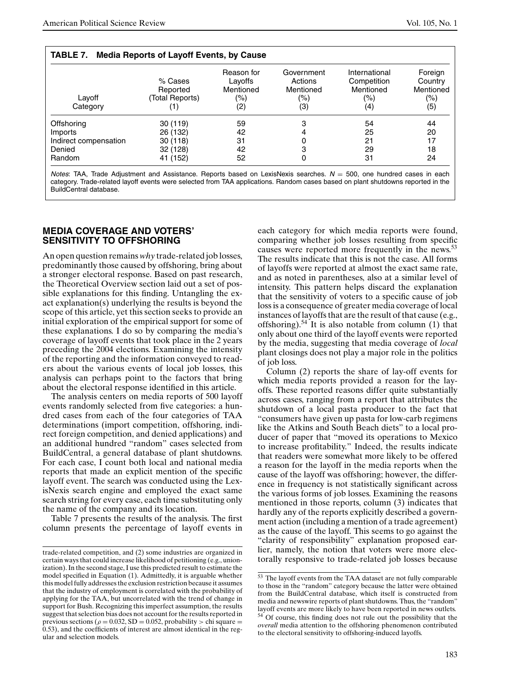| Lavoff<br>Category                         | % Cases<br>Reported<br>(Total Reports) | Reason for<br>Layoffs<br>Mentioned<br>(%)<br>(2) | Government<br>Actions<br>Mentioned<br>(%)<br>(3) | International<br>Competition<br>Mentioned<br>(%)<br>(4) | Foreign<br>Country<br>Mentioned<br>(%)<br>(5) |
|--------------------------------------------|----------------------------------------|--------------------------------------------------|--------------------------------------------------|---------------------------------------------------------|-----------------------------------------------|
| Offshoring                                 | 30 (119)<br>26 (132)                   | 59<br>42                                         | 3                                                | 54<br>25                                                | 44<br>20                                      |
| Imports<br>Indirect compensation<br>Denied | 30(118)                                | 31<br>42                                         |                                                  | 21<br>29                                                | 17<br>18                                      |
| Random                                     | 32 (128)<br>41 (152)                   | 52                                               |                                                  | 31                                                      | 24                                            |

Notes: TAA, Trade Adjustment and Assistance. Reports based on LexisNexis searches.  $N = 500$ , one hundred cases in each category. Trade-related layoff events were selected from TAA applications. Random cases based on plant shutdowns reported in the BuildCentral database.

#### **MEDIA COVERAGE AND VOTERS' SENSITIVITY TO OFFSHORING**

An open question remains *why* trade-related job losses, predominantly those caused by offshoring, bring about a stronger electoral response. Based on past research, the Theoretical Overview section laid out a set of possible explanations for this finding. Untangling the exact explanation(s) underlying the results is beyond the scope of this article, yet this section seeks to provide an initial exploration of the empirical support for some of these explanations. I do so by comparing the media's coverage of layoff events that took place in the 2 years preceding the 2004 elections. Examining the intensity of the reporting and the information conveyed to readers about the various events of local job losses, this analysis can perhaps point to the factors that bring about the electoral response identified in this article.

The analysis centers on media reports of 500 layoff events randomly selected from five categories: a hundred cases from each of the four categories of TAA determinations (import competition, offshoring, indirect foreign competition, and denied applications) and an additional hundred "random" cases selected from BuildCentral, a general database of plant shutdowns. For each case, I count both local and national media reports that made an explicit mention of the specific layoff event. The search was conducted using the LexisNexis search engine and employed the exact same search string for every case, each time substituting only the name of the company and its location.

Table 7 presents the results of the analysis. The first column presents the percentage of layoff events in each category for which media reports were found, comparing whether job losses resulting from specific causes were reported more frequently in the news.<sup>53</sup> The results indicate that this is not the case. All forms of layoffs were reported at almost the exact same rate, and as noted in parentheses, also at a similar level of intensity. This pattern helps discard the explanation that the sensitivity of voters to a specific cause of job loss is a consequence of greater media coverage of local instances of layoffs that are the result of that cause (e.g., offshoring).<sup>54</sup> It is also notable from column  $(1)$  that only about one third of the layoff events were reported by the media, suggesting that media coverage of *local* plant closings does not play a major role in the politics of job loss.

Column (2) reports the share of lay-off events for which media reports provided a reason for the layoffs. These reported reasons differ quite substantially across cases, ranging from a report that attributes the shutdown of a local pasta producer to the fact that "consumers have given up pasta for low-carb regimens like the Atkins and South Beach diets" to a local producer of paper that "moved its operations to Mexico to increase profitability." Indeed, the results indicate that readers were somewhat more likely to be offered a reason for the layoff in the media reports when the cause of the layoff was offshoring; however, the difference in frequency is not statistically significant across the various forms of job losses. Examining the reasons mentioned in those reports, column (3) indicates that hardly any of the reports explicitly described a government action (including a mention of a trade agreement) as the cause of the layoff. This seems to go against the "clarity of responsibility" explanation proposed earlier, namely, the notion that voters were more electorally responsive to trade-related job losses because

trade-related competition, and (2) some industries are organized in certain ways that could increase likelihood of petitioning (e.g., unionization). In the second stage, I use this predicted result to estimate the model specified in Equation (1). Admittedly, it is arguable whether this model fully addresses the exclusion restriction because it assumes that the industry of employment is correlated with the probability of applying for the TAA, but uncorrelated with the trend of change in support for Bush. Recognizing this imperfect assumption, the results suggest that selection bias does not account for the results reported in previous sections ( $\rho = 0.032$ , SD = 0.052, probability > chi square = 0.53), and the coefficients of interest are almost identical in the regular and selection models.

<sup>53</sup> The layoff events from the TAA dataset are not fully comparable to those in the "random" category because the latter were obtained from the BuildCentral database, which itself is constructed from media and newswire reports of plant shutdowns. Thus, the "random" layoff events are more likely to have been reported in news outlets. <sup>54</sup> Of course, this finding does not rule out the possibility that the *overall* media attention to the offshoring phenomenon contributed to the electoral sensitivity to offshoring-induced layoffs.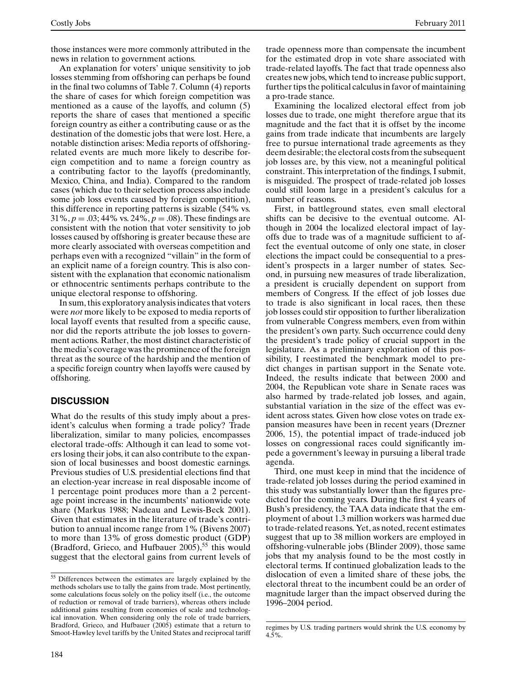those instances were more commonly attributed in the news in relation to government actions.

An explanation for voters' unique sensitivity to job losses stemming from offshoring can perhaps be found in the final two columns of Table 7. Column (4) reports the share of cases for which foreign competition was mentioned as a cause of the layoffs, and column (5) reports the share of cases that mentioned a specific foreign country as either a contributing cause or as the destination of the domestic jobs that were lost. Here, a notable distinction arises: Media reports of offshoringrelated events are much more likely to describe foreign competition and to name a foreign country as a contributing factor to the layoffs (predominantly, Mexico, China, and India). Compared to the random cases (which due to their selection process also include some job loss events caused by foreign competition), this difference in reporting patterns is sizable (54% vs. 31%, *p* = .03; 44% vs. 24%, *p* = .08). These findings are consistent with the notion that voter sensitivity to job losses caused by offshoring is greater because these are more clearly associated with overseas competition and perhaps even with a recognized "villain" in the form of an explicit name of a foreign country. This is also consistent with the explanation that economic nationalism or ethnocentric sentiments perhaps contribute to the unique electoral response to offshoring.

In sum, this exploratory analysis indicates that voters were *not* more likely to be exposed to media reports of local layoff events that resulted from a specific cause, nor did the reports attribute the job losses to government actions. Rather, the most distinct characteristic of the media's coverage was the prominence of the foreign threat as the source of the hardship and the mention of a specific foreign country when layoffs were caused by offshoring.

## **DISCUSSION**

What do the results of this study imply about a president's calculus when forming a trade policy? Trade liberalization, similar to many policies, encompasses electoral trade-offs: Although it can lead to some voters losing their jobs, it can also contribute to the expansion of local businesses and boost domestic earnings. Previous studies of U.S. presidential elections find that an election-year increase in real disposable income of 1 percentage point produces more than a 2 percentage point increase in the incumbents' nationwide vote share (Markus 1988; Nadeau and Lewis-Beck 2001). Given that estimates in the literature of trade's contribution to annual income range from 1% (Bivens 2007) to more than 13% of gross domestic product (GDP) (Bradford, Grieco, and Hufbauer  $2005$ ),<sup>55</sup> this would suggest that the electoral gains from current levels of trade openness more than compensate the incumbent for the estimated drop in vote share associated with trade-related layoffs. The fact that trade openness also creates new jobs, which tend to increase public support, further tips the political calculus in favor of maintaining a pro-trade stance.

Examining the localized electoral effect from job losses due to trade, one might therefore argue that its magnitude and the fact that it is offset by the income gains from trade indicate that incumbents are largely free to pursue international trade agreements as they deem desirable; the electoral costs from the subsequent job losses are, by this view, not a meaningful political constraint. This interpretation of the findings, I submit, is misguided. The prospect of trade-related job losses could still loom large in a president's calculus for a number of reasons.

First, in battleground states, even small electoral shifts can be decisive to the eventual outcome. Although in 2004 the localized electoral impact of layoffs due to trade was of a magnitude sufficient to affect the eventual outcome of only one state, in closer elections the impact could be consequential to a president's prospects in a larger number of states. Second, in pursuing new measures of trade liberalization, a president is crucially dependent on support from members of Congress. If the effect of job losses due to trade is also significant in local races, then these job losses could stir opposition to further liberalization from vulnerable Congress members, even from within the president's own party. Such occurrence could deny the president's trade policy of crucial support in the legislature. As a preliminary exploration of this possibility, I reestimated the benchmark model to predict changes in partisan support in the Senate vote. Indeed, the results indicate that between 2000 and 2004, the Republican vote share in Senate races was also harmed by trade-related job losses, and again, substantial variation in the size of the effect was evident across states. Given how close votes on trade expansion measures have been in recent years (Drezner 2006, 15), the potential impact of trade-induced job losses on congressional races could significantly impede a government's leeway in pursuing a liberal trade agenda.

Third, one must keep in mind that the incidence of trade-related job losses during the period examined in this study was substantially lower than the figures predicted for the coming years. During the first 4 years of Bush's presidency, the TAA data indicate that the employment of about 1.3 million workers was harmed due to trade-related reasons. Yet, as noted, recent estimates suggest that up to 38 million workers are employed in offshoring-vulnerable jobs (Blinder 2009), those same jobs that my analysis found to be the most costly in electoral terms. If continued globalization leads to the dislocation of even a limited share of these jobs, the electoral threat to the incumbent could be an order of magnitude larger than the impact observed during the 1996–2004 period.

<sup>55</sup> Differences between the estimates are largely explained by the methods scholars use to tally the gains from trade. Most pertinently, some calculations focus solely on the policy itself (i.e., the outcome of reduction or removal of trade barriers), whereas others include additional gains resulting from economies of scale and technological innovation. When considering only the role of trade barriers, Bradford, Grieco, and Hufbauer (2005) estimate that a return to Smoot-Hawley level tariffs by the United States and reciprocal tariff

regimes by U.S. trading partners would shrink the U.S. economy by  $4.\bar{5}\%$ .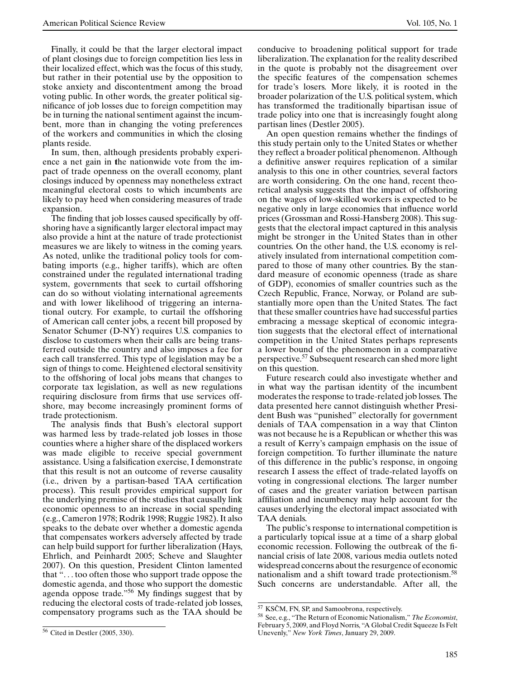Finally, it could be that the larger electoral impact of plant closings due to foreign competition lies less in their localized effect, which was the focus of this study, but rather in their potential use by the opposition to stoke anxiety and discontentment among the broad voting public. In other words, the greater political significance of job losses due to foreign competition may be in turning the national sentiment against the incumbent, more than in changing the voting preferences of the workers and communities in which the closing plants reside.

In sum, then, although presidents probably experience a net gain in **t**he nationwide vote from the impact of trade openness on the overall economy, plant closings induced by openness may nonetheless extract meaningful electoral costs to which incumbents are likely to pay heed when considering measures of trade expansion.

The finding that job losses caused specifically by offshoring have a significantly larger electoral impact may also provide a hint at the nature of trade protectionist measures we are likely to witness in the coming years. As noted, unlike the traditional policy tools for combating imports (e.g., higher tariffs), which are often constrained under the regulated international trading system, governments that seek to curtail offshoring can do so without violating international agreements and with lower likelihood of triggering an international outcry. For example, to curtail the offshoring of American call center jobs, a recent bill proposed by Senator Schumer (D-NY) requires U.S. companies to disclose to customers when their calls are being transferred outside the country and also imposes a fee for each call transferred. This type of legislation may be a sign of things to come. Heightened electoral sensitivity to the offshoring of local jobs means that changes to corporate tax legislation, as well as new regulations requiring disclosure from firms that use services offshore, may become increasingly prominent forms of trade protectionism.

The analysis finds that Bush's electoral support was harmed less by trade-related job losses in those counties where a higher share of the displaced workers was made eligible to receive special government assistance. Using a falsification exercise, I demonstrate that this result is not an outcome of reverse causality (i.e., driven by a partisan-based TAA certification process). This result provides empirical support for the underlying premise of the studies that causally link economic openness to an increase in social spending (e.g., Cameron 1978; Rodrik 1998; Ruggie 1982). It also speaks to the debate over whether a domestic agenda that compensates workers adversely affected by trade can help build support for further liberalization (Hays, Ehrlich, and Peinhardt 2005; Scheve and Slaughter 2007). On this question, President Clinton lamented that "*...* too often those who support trade oppose the domestic agenda, and those who support the domestic agenda oppose trade."56 My findings suggest that by reducing the electoral costs of trade-related job losses, compensatory programs such as the TAA should be

conducive to broadening political support for trade liberalization. The explanation for the reality described in the quote is probably not the disagreement over the specific features of the compensation schemes for trade's losers. More likely, it is rooted in the broader polarization of the U.S. political system, which has transformed the traditionally bipartisan issue of trade policy into one that is increasingly fought along partisan lines (Destler 2005).

An open question remains whether the findings of this study pertain only to the United States or whether they reflect a broader political phenomenon. Although a definitive answer requires replication of a similar analysis to this one in other countries, several factors are worth considering. On the one hand, recent theoretical analysis suggests that the impact of offshoring on the wages of low-skilled workers is expected to be negative only in large economies that influence world prices (Grossman and Rossi-Hansberg 2008). This suggests that the electoral impact captured in this analysis might be stronger in the United States than in other countries. On the other hand, the U.S. economy is relatively insulated from international competition compared to those of many other countries. By the standard measure of economic openness (trade as share of GDP), economies of smaller countries such as the Czech Republic, France, Norway, or Poland are substantially more open than the United States. The fact that these smaller countries have had successful parties embracing a message skeptical of economic integration suggests that the electoral effect of international competition in the United States perhaps represents a lower bound of the phenomenon in a comparative perspective.57 Subsequent research can shed more light on this question.

Future research could also investigate whether and in what way the partisan identity of the incumbent moderates the response to trade-related job losses. The data presented here cannot distinguish whether President Bush was "punished" electorally for government denials of TAA compensation in a way that Clinton was not because he is a Republican or whether this was a result of Kerry's campaign emphasis on the issue of foreign competition. To further illuminate the nature of this difference in the public's response, in ongoing research I assess the effect of trade-related layoffs on voting in congressional elections. The larger number of cases and the greater variation between partisan affiliation and incumbency may help account for the causes underlying the electoral impact associated with TAA denials.

The public's response to international competition is a particularly topical issue at a time of a sharp global economic recession. Following the outbreak of the financial crisis of late 2008, various media outlets noted widespread concerns about the resurgence of economic nationalism and a shift toward trade protectionism.<sup>58</sup> Such concerns are understandable. After all, the

<sup>57</sup> KSČM, FN, SP, and Samoobrona, respectively.

<sup>58</sup> See, e.g., "The Return of Economic Nationalism," *The Economist*, February 5, 2009, and Floyd Norris, "A Global Credit Squeeze Is Felt Unevenly," *New York Times*, January 29, 2009.

<sup>56</sup> Cited in Destler (2005, 330).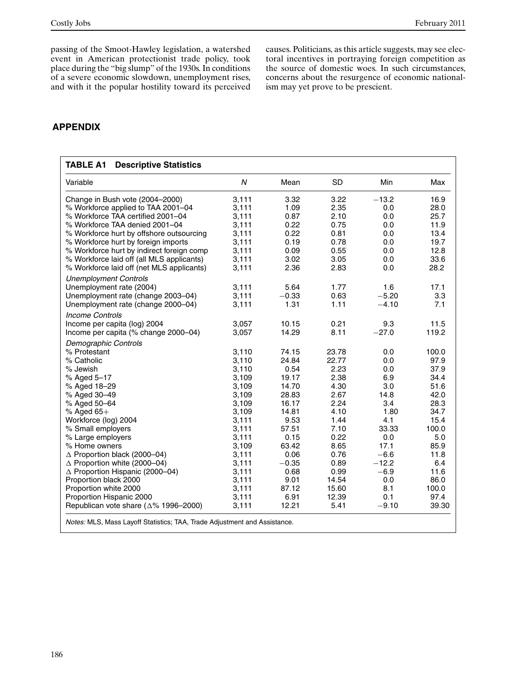passing of the Smoot-Hawley legislation, a watershed event in American protectionist trade policy, took place during the "big slump" of the 1930s. In conditions of a severe economic slowdown, unemployment rises, and with it the popular hostility toward its perceived causes. Politicians, as this article suggests, may see electoral incentives in portraying foreign competition as the source of domestic woes. In such circumstances, concerns about the resurgence of economic nationalism may yet prove to be prescient.

## **APPENDIX**

| Variable                                                                       | N              | Mean          | <b>SD</b>     | Min               | Max           |
|--------------------------------------------------------------------------------|----------------|---------------|---------------|-------------------|---------------|
| Change in Bush vote (2004-2000)                                                | 3,111          | 3.32          | 3.22          | $-13.2$           | 16.9          |
| % Workforce applied to TAA 2001-04                                             | 3,111          | 1.09          | 2.35          | 0.0               | 28.0          |
| % Workforce TAA certified 2001-04                                              | 3,111          | 0.87          | 2.10          | 0.0               | 25.7          |
| % Workforce TAA denied 2001-04                                                 | 3,111          | 0.22          | 0.75          | 0.0               | 11.9          |
| % Workforce hurt by offshore outsourcing                                       | 3,111          | 0.22          | 0.81          | 0.0               | 13.4          |
| % Workforce hurt by foreign imports                                            | 3,111          | 0.19          | 0.78          | 0.0               | 19.7          |
| % Workforce hurt by indirect foreign comp                                      | 3,111          | 0.09          | 0.55          | 0.0               | 12.8          |
| % Workforce laid off (all MLS applicants)                                      | 3,111          | 3.02          | 3.05          | 0.0               | 33.6          |
| % Workforce laid off (net MLS applicants)                                      | 3,111          | 2.36          | 2.83          | 0.0               | 28.2          |
| <b>Unemployment Controls</b>                                                   |                |               |               |                   |               |
| Unemployment rate (2004)                                                       | 3,111          | 5.64          | 1.77          | 1.6               | 17.1          |
| Unemployment rate (change 2003-04)                                             | 3,111          | $-0.33$       | 0.63          | $-5.20$           | 3.3           |
| Unemployment rate (change 2000-04)                                             | 3,111          | 1.31          | 1.11          | $-4.10$           | 7.1           |
| <b>Income Controls</b>                                                         |                |               |               |                   |               |
| Income per capita (log) 2004                                                   | 3,057          | 10.15         | 0.21          | 9.3               | 11.5          |
| Income per capita (% change 2000-04)                                           | 3,057          | 14.29         | 8.11          | $-27.0$           | 119.2         |
| Demographic Controls                                                           |                |               |               |                   |               |
| % Protestant                                                                   | 3,110          | 74.15         | 23.78         | 0.0               | 100.0         |
| % Catholic                                                                     | 3,110          | 24.84         | 22.77         | 0.0               | 97.9          |
| % Jewish                                                                       | 3,110          | 0.54          | 2.23          | 0.0               | 37.9          |
| % Aged 5-17                                                                    | 3,109          | 19.17         | 2.38          | 6.9               | 34.4          |
| % Aged 18-29                                                                   | 3,109          | 14.70         | 4.30          | 3.0               | 51.6          |
| % Aged 30-49                                                                   | 3,109          | 28.83         | 2.67          | 14.8              | 42.0          |
| % Aged 50-64                                                                   | 3,109          | 16.17         | 2.24          | 3.4               | 28.3          |
| $%$ Aged 65+                                                                   | 3,109          | 14.81         | 4.10          | 1.80              | 34.7          |
| Workforce (log) 2004                                                           | 3,111          | 9.53          | 1.44          | 4.1               | 15.4          |
| % Small employers                                                              | 3,111          | 57.51         | 7.10          | 33.33             | 100.0         |
| % Large employers                                                              | 3,111          | 0.15          | 0.22          | 0.0<br>17.1       | 5.0           |
| % Home owners                                                                  | 3,109          | 63.42         | 8.65          |                   | 85.9          |
| $\triangle$ Proportion black (2000–04)                                         | 3,111          | 0.06          | 0.76          | $-6.6$<br>$-12.2$ | 11.8<br>6.4   |
| $\triangle$ Proportion white (2000–04)                                         | 3,111          | $-0.35$       | 0.89          |                   |               |
| $\triangle$ Proportion Hispanic (2000-04)                                      | 3,111          | 0.68          | 0.99          | $-6.9$            | 11.6          |
| Proportion black 2000                                                          | 3,111          | 9.01          | 14.54         | 0.0               | 86.0          |
| Proportion white 2000                                                          | 3,111          | 87.12         | 15.60         | 8.1               | 100.0         |
| Proportion Hispanic 2000<br>Republican vote share $(\triangle \% 1996 - 2000)$ | 3,111<br>3,111 | 6.91<br>12.21 | 12.39<br>5.41 | 0.1<br>$-9.10$    | 97.4<br>39.30 |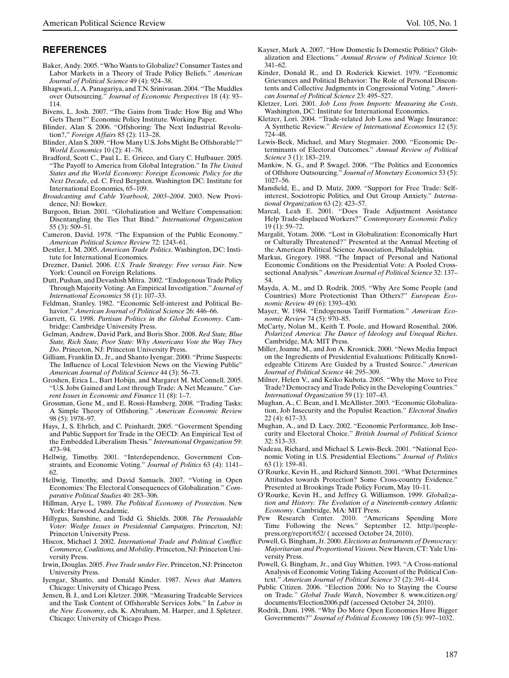#### **REFERENCES**

- Baker, Andy. 2005. "Who Wants to Globalize? Consumer Tastes and Labor Markets in a Theory of Trade Policy Beliefs." *American Journal of Political Science* 49 (4): 924–38.
- Bhagwati, J., A. Panagariya, and T.N. Srinivasan. 2004. "The Muddles over Outsourcing." *Journal of Economic Perspectives* 18 (4): 93– 114.
- Bivens, L. Josh. 2007. "The Gains from Trade: How Big and Who Gets Them?" Economic Policy Institute. Working Paper.
- Blinder, Alan S. 2006. "Offshoring: The Next Industrial Revolution?," *Foreign Affairs* 85 (2): 113–28.
- Blinder, Alan S. 2009. "How Many U.S. Jobs Might Be Offshorable?" *World Economics* 10 (2): 41–78.
- Bradford, Scott C., Paul L. E. Grieco, and Gary C. Hufbauer. 2005. "The Payoff to America from Global Integration." In *The United States and the World Economy: Foreign Economic Policy for the Next Decade*, ed. C. Fred Bergsten. Washington DC: Institute for International Economics, 65–109.
- *Broadcasting and Cable Yearbook, 2003–2004*. 2003. New Providence, NJ: Bowker.
- Burgoon, Brian. 2001. "Globalization and Welfare Compensation: Disentangling the Ties That Bind." *International Organization* 55 (3): 509–51.
- Cameron, David. 1978. "The Expansion of the Public Economy." *American Political Science Review* 72: 1243–61.
- Destler, I. M. 2005. *American Trade Politics*. Washington, DC: Institute for International Economics.
- Drezner, Daniel. 2006. *U.S. Trade Strategy: Free versus Fair*. New York: Council on Foreign Relations.
- Dutt, Pushan, and Devashish Mitra. 2002. "Endogenous Trade Policy Through Majority Voting: An Empirical Investigation." *Journal of International Economics* 58 (1): 107–33.
- Feldman, Stanley. 1982. "Economic Self-interest and Political Behavior." *American Journal of Political Science* 26: 446–66.
- Garrett, G. 1998. *Partisan Politics in the Global Economy*. Cambridge: Cambridge University Press.
- Gelman, Andrew, David Park, and Boris Shor. 2008. *Red State, Blue State, Rich State, Poor State: Why Americans Vote the Way They Do*. Princeton, NJ: Princeton University Press.
- Gilliam, Franklin D., Jr., and Shanto Iyengar. 2000. "Prime Suspects: The Influence of Local Television News on the Viewing Public" *American Journal of Political Science* 44 (3): 56–73.
- Groshen, Erica L., Bart Hobijn, and Margaret M. McConnell. 2005. "U.S. Jobs Gained and Lost through Trade: A Net Measure." *Current Issues in Economic and Finance* 11 (8): 1–7.
- Grossman, Gene M., and E. Rossi-Hansberg. 2008. "Trading Tasks: A Simple Theory of Offshoring." *American Economic Review* 98 (5): 1978–97.
- Hays, J., S. Ehrlich, and C. Peinhardt. 2005. "Goverment Spending and Public Support for Trade in the OECD: An Empirical Test of the Embedded Liberalism Thesis." *International Organization* 59: 473–94.
- Hellwig, Timothy. 2001. "Interdependence, Government Constraints, and Economic Voting." *Journal of Politics* 63 (4): 1141– 62.
- Hellwig, Timothy, and David Samuels. 2007. "Voting in Open Economies: The Electoral Consequences of Globalization." *Comparative Political Studies* 40: 283–306.
- Hillman, Arye L. 1989. *The Political Economy of Protection*. New York: Harwood Academic.
- Hillygus, Sunshine, and Todd G. Shields. 2008. *The Persuadable Voter: Wedge Issues in Presidential Campaigns*. Princeton, NJ: Princeton University Press.
- Hiscox, Michael J. 2002. *International Trade and Political Conflict: Commerce, Coalitions, and Mobility*. Princeton, NJ: Princeton University Press.
- Irwin, Douglas. 2005. *Free Trade under Fire*. Princeton, NJ: Princeton University Press.
- Iyengar, Shanto, and Donald Kinder. 1987. *News that Matters.* Chicago: University of Chicago Press.
- Jensen, B. J., and Lori Kletzer. 2008. "Measuring Tradeable Services and the Task Content of Offshorable Services Jobs." In *Labor in the New Economy*, eds. K. Abraham, M. Harper, and J. Spletzer. Chicago: University of Chicago Press.
- Kayser, Mark A. 2007. "How Domestic Is Domestic Politics? Globalization and Elections." *Annual Review of Political Science* 10: 341–62.
- Kinder, Donald R., and D. Roderick Kiewiet. 1979. "Economic Grievances and Political Behavior: The Role of Personal Discontents and Collective Judgments in Congressional Voting." *American Journal of Political Science* 23: 495–527.
- Kletzer, Lori. 2001. *Job Loss from Imports: Measuring the Costs*. Washington, DC: Institute for International Economics.
- Kletzer, Lori. 2004. "Trade-related Job Loss and Wage Insurance: A Synthetic Review." *Review of International Economics* 12 (5): 724–48.
- Lewis-Beck, Michael, and Mary Stegmaier. 2000. "Economic Determinants of Electoral Outcomes." *Annual Review of Political Science* 3 (1): 183–219.
- Mankiw, N. G., and P. Swagel. 2006. "The Politics and Economics of Offshore Outsourcing." *Journal of Monetary Economics* 53 (5): 1027–56.
- Mansfield, E., and D. Mutz. 2009. "Support for Free Trade: Selfinterest, Sociotropic Politics, and Out Group Anxiety." *International Organization* 63 (2): 423–57.
- Marcal, Leah E. 2001. "Does Trade Adjustment Assistance Help Trade-displaced Workers?" *Contemporary Economic Policy* 19 (1): 59–72.
- Margalit, Yotam. 2006. "Lost in Globalization: Economically Hurt or Culturally Threatened?" Presented at the Annual Meeting of the American Political Science Association, Philadelphia.
- Markus, Gregory. 1988. "The Impact of Personal and National Economic Conditions on the Presidential Vote: A Pooled Crosssectional Analysis." *American Journal of Political Science* 32: 137– 54.
- Mayda, A. M., and D. Rodrik. 2005. "Why Are Some People (and Countries) More Protectionist Than Others?" *European Economic Review* 49 (6): 1393–430.
- Mayer, W. 1984. "Endogenous Tariff Formation." *American Economic Review* 74 (5): 970–85.
- McCarty, Nolan M., Keith T. Poole, and Howard Rosenthal. 2006. *Polarized America: The Dance of Ideology and Unequal Riches*. Cambridge, MA: MIT Press.
- Miller, Joanne M., and Jon A. Krosnick. 2000. "News Media Impact on the Ingredients of Presidential Evaluations: Politically Knowledgeable Citizens Are Guided by a Trusted Source." *American Journal of Political Science* 44: 295–309.
- Milner, Helen V., and Keiko Kubota. 2005. "Why the Move to Free Trade? Democracy and Trade Policy in the Developing Countries." *International Organization* 59 (1): 107–43.
- Mughan, A., C. Bean, and I. McAllister. 2003. "Economic Globalization, Job Insecurity and the Populist Reaction." *Electoral Studies* 22 (4): 617–33.
- Mughan, A., and D. Lacy. 2002. "Economic Performance, Job Insecurity and Electoral Choice." *British Journal of Political Science* 32: 513–33.
- Nadeau, Richard, and Michael S. Lewis-Beck. 2001. "National Economic Voting in U.S. Presidential Elections." *Journal of Politics* 63 (1): 159–81.
- O'Rourke, Kevin H., and Richard Sinnott. 2001. "What Determines Attitudes towards Protection? Some Cross-country Evidence." Presented at Brookings Trade Policy Forum, May 10–11.
- O'Rourke, Kevin H., and Jeffrey G. Williamson. 1999. *Globalization and History: The Evolution of a Nineteenth-century Atlantic Economy*. Cambridge, MA: MIT Press.
- Pew Research Center. 2010. "Americans Spending More Time Following the News." September 12. http://peoplepress.org/report/652/ ( accessed October 24, 2010).
- Powell, G. Bingham, Jr. 2000. *Elections as Instruments of Democracy: Majoritarian and Proportional Visions*. New Haven, CT: Yale University Press.
- Powell, G. Bingham, Jr., and Guy Whitten. 1993. "A Cross-national Analysis of Economic Voting Taking Account of the Political Context." *American Journal of Political Science* 37 (2): 391–414.
- Public Citizen. 2006. "Election 2006: No to Staying the Course on Trade*." Global Trade Watch*, November 8. www.citizen.org/ documents/Election2006.pdf (accessed October 24, 2010).
- Rodrik, Dani. 1998. "Why Do More Open Economies Have Bigger Governments?" *Journal of Political Economy* 106 (5): 997–1032.